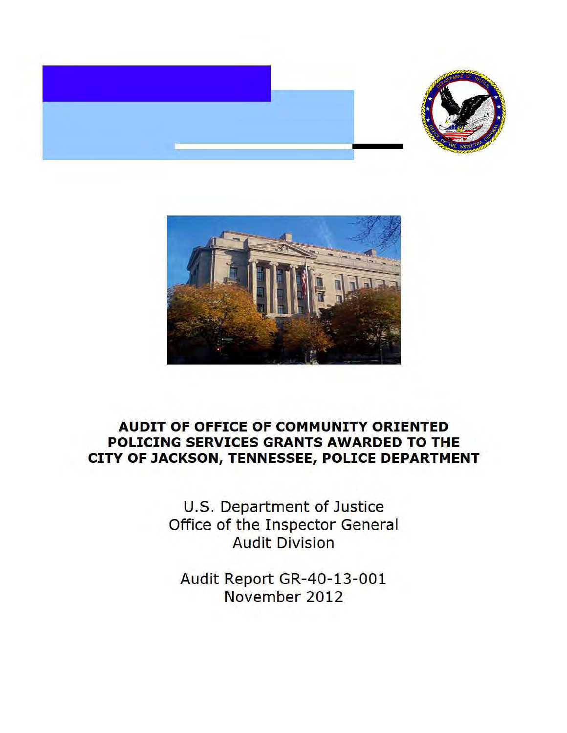



# **AUDIT OF OFFICE OF COMMUNITY ORIENTED POLICING SERVICES GRANTS AWARDED TO THE CITY OF JACKSON, TENNESSEE, POLICE DEPARTMENT**

U.S. Department of Justice Office of the Inspector General Audit Division

Audit Report GR-40-13-001 November 2012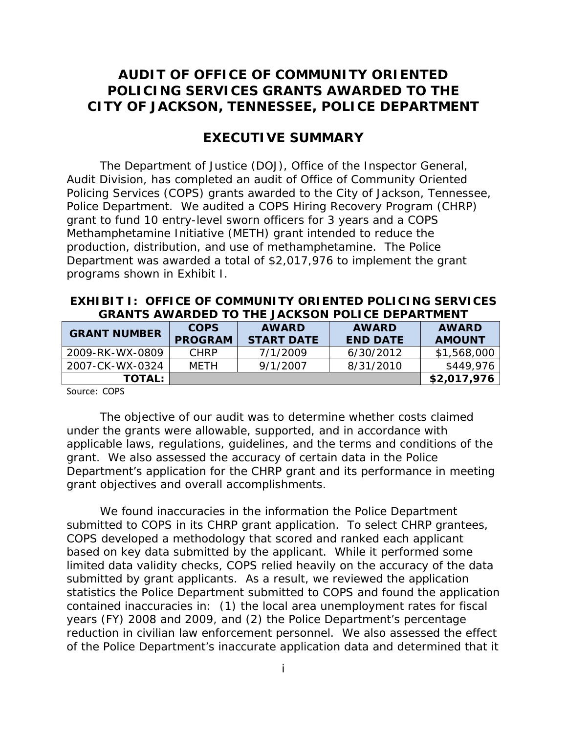# **POLICING SERVICES GRANTS AWARDED TO THE CITY OF JACKSON, TENNESSEE, POLICE DEPARTMENT AUDIT OF OFFICE OF COMMUNITY ORIENTED**

# **EXECUTIVE SUMMARY**

 Police Department. We audited a COPS Hiring Recovery Program (CHRP) grant to fund 10 entry-level sworn officers for 3 years and a COPS Methamphetamine Initiative (METH) grant intended to reduce the programs shown in Exhibit I. The Department of Justice (DOJ), Office of the Inspector General, Audit Division, has completed an audit of Office of Community Oriented Policing Services (COPS) grants awarded to the City of Jackson, Tennessee, production, distribution, and use of methamphetamine. The Police Department was awarded a total of \$2,017,976 to implement the grant

### **EXHIBIT I: OFFICE OF COMMUNITY ORIENTED POLICING SERVICES GRANTS AWARDED TO THE JACKSON POLICE DEPARTMENT**

| <b>GRANT NUMBER</b> | <b>COPS</b><br><b>PROGRAM</b> | <b>AWARD</b><br><b>START DATE</b> | AWARD<br><b>END DATE</b> | <b>AWARD</b><br><b>AMOUNT</b> |
|---------------------|-------------------------------|-----------------------------------|--------------------------|-------------------------------|
| 2009-RK-WX-0809     | <b>CHRP</b>                   | 7/1/2009                          | 6/30/2012                | \$1,568,000                   |
| 2007-CK-WX-0324     | MFTH                          | 9/1/2007                          | 8/31/2010                | \$449,976                     |
| <b>TOTAL:</b>       |                               |                                   |                          | \$2,017,976                   |

Source: COPS

The objective of our audit was to determine whether costs claimed under the grants were allowable, supported, and in accordance with applicable laws, regulations, guidelines, and the terms and conditions of the grant. We also assessed the accuracy of certain data in the Police Department's application for the CHRP grant and its performance in meeting grant objectives and overall accomplishments.

 submitted to COPS in its CHRP grant application. To select CHRP grantees, based on key data submitted by the applicant. While it performed some submitted by grant applicants. As a result, we reviewed the application contained inaccuracies in: (1) the local area unemployment rates for fiscal We found inaccuracies in the information the Police Department COPS developed a methodology that scored and ranked each applicant limited data validity checks, COPS relied heavily on the accuracy of the data statistics the Police Department submitted to COPS and found the application years (FY) 2008 and 2009, and (2) the Police Department's percentage reduction in civilian law enforcement personnel. We also assessed the effect of the Police Department's inaccurate application data and determined that it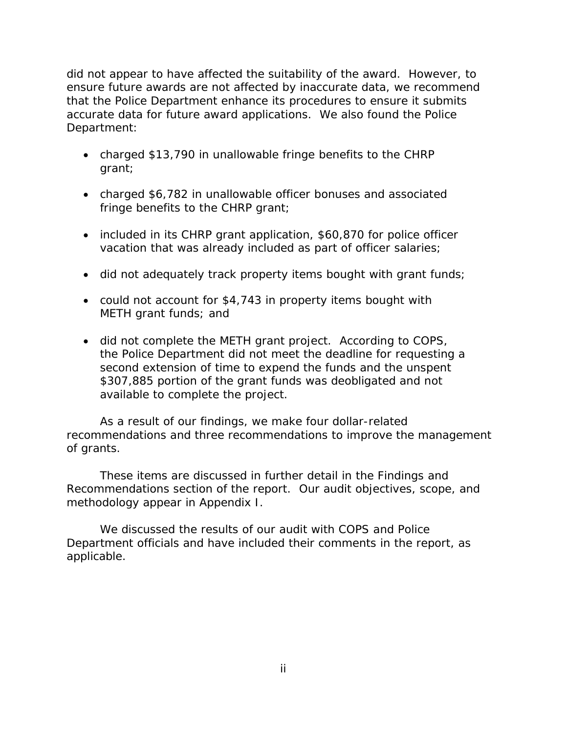that the Police Department enhance its procedures to ensure it submits accurate data for future award applications. We also found the Police Department: did not appear to have affected the suitability of the award. However, to ensure future awards are not affected by inaccurate data, we recommend

- charged \$13,790 in unallowable fringe benefits to the CHRP grant;
- charged \$6,782 in unallowable officer bonuses and associated fringe benefits to the CHRP grant;
- included in its CHRP grant application, \$60,870 for police officer vacation that was already included as part of officer salaries;
- did not adequately track property items bought with grant funds;
- METH grant funds; and • could not account for \$4,743 in property items bought with
- second extension of time to expend the funds and the unspent \$307,885 portion of the grant funds was deobligated and not available to complete the project. • did not complete the METH grant project. According to COPS, the Police Department did not meet the deadline for requesting a

available to complete the project.<br>As a result of our findings, we make four dollar-related of grants. recommendations and three recommendations to improve the management

These items are discussed in further detail in the Findings and Recommendations section of the report. Our audit objectives, scope, and methodology appear in Appendix I.

We discussed the results of our audit with COPS and Police Department officials and have included their comments in the report, as applicable.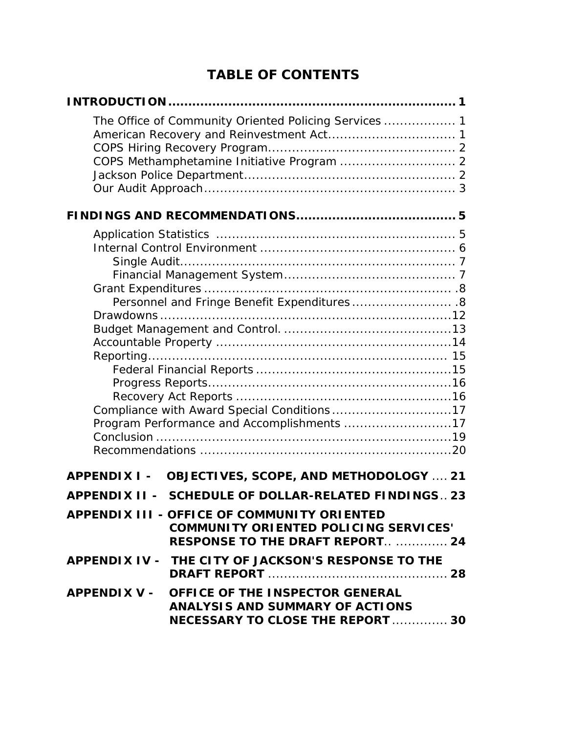# **TABLE OF CONTENTS**

| The Office of Community Oriented Policing Services  1                                                                          |  |
|--------------------------------------------------------------------------------------------------------------------------------|--|
|                                                                                                                                |  |
| COPS Methamphetamine Initiative Program  2                                                                                     |  |
|                                                                                                                                |  |
|                                                                                                                                |  |
|                                                                                                                                |  |
|                                                                                                                                |  |
|                                                                                                                                |  |
|                                                                                                                                |  |
|                                                                                                                                |  |
|                                                                                                                                |  |
| Personnel and Fringe Benefit Expenditures 8                                                                                    |  |
|                                                                                                                                |  |
|                                                                                                                                |  |
|                                                                                                                                |  |
|                                                                                                                                |  |
|                                                                                                                                |  |
|                                                                                                                                |  |
| Compliance with Award Special Conditions17                                                                                     |  |
| Program Performance and Accomplishments 17                                                                                     |  |
|                                                                                                                                |  |
|                                                                                                                                |  |
| OBJECTIVES, SCOPE, AND METHODOLOGY  21<br><b>APPENDIX I -</b>                                                                  |  |
| <b>SCHEDULE OF DOLLAR-RELATED FINDINGS 23</b><br><b>APPENDIX II -</b>                                                          |  |
| APPENDIX III - OFFICE OF COMMUNITY ORIENTED<br>COMMUNITY ORIENTED POLICING SERVICES'<br><b>RESPONSE TO THE DRAFT REPORT 24</b> |  |
| APPENDIX IV - THE CITY OF JACKSON'S RESPONSE TO THE                                                                            |  |
| APPENDIX V - OFFICE OF THE INSPECTOR GENERAL<br>ANALYSIS AND SUMMARY OF ACTIONS<br>NECESSARY TO CLOSE THE REPORT  30           |  |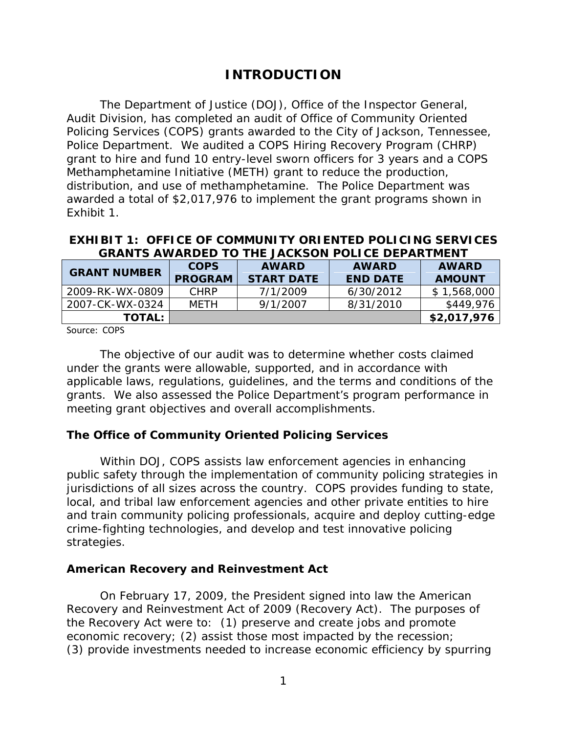# **INTRODUCTION**

<span id="page-4-0"></span> Police Department. We audited a COPS Hiring Recovery Program (CHRP) grant to hire and fund 10 entry-level sworn officers for 3 years and a COPS The Department of Justice (DOJ), Office of the Inspector General, Audit Division, has completed an audit of Office of Community Oriented Policing Services (COPS) grants awarded to the City of Jackson, Tennessee, Methamphetamine Initiative (METH) grant to reduce the production, distribution, and use of methamphetamine. The Police Department was awarded a total of \$2,017,976 to implement the grant programs shown in Exhibit 1.

### **EXHIBIT 1: OFFICE OF COMMUNITY ORIENTED POLICING SERVICES GRANTS AWARDED TO THE JACKSON POLICE DEPARTMENT**

| <b>GRANT NUMBER</b> | <b>COPS</b><br><b>PROGRAM</b> | <b>AWARD</b><br><b>START DATE</b> | <b>AWARD</b><br><b>END DATE</b> | <b>AWARD</b><br><b>AMOUNT</b> |
|---------------------|-------------------------------|-----------------------------------|---------------------------------|-------------------------------|
| 2009-RK-WX-0809     | <b>CHRP</b>                   | 7/1/2009                          | 6/30/2012                       | \$1,568,000                   |
| 2007-CK-WX-0324     | MFTH                          | 9/1/2007                          | 8/31/2010                       | \$449,976                     |
| <b>TOTAL:</b>       |                               |                                   |                                 | \$2,017,976                   |
|                     |                               |                                   |                                 |                               |

Source: COPS

The objective of our audit was to determine whether costs claimed under the grants were allowable, supported, and in accordance with applicable laws, regulations, guidelines, and the terms and conditions of the grants. We also assessed the Police Department's program performance in meeting grant objectives and overall accomplishments.

## **The Office of Community Oriented Policing Services**

 jurisdictions of all sizes across the country. COPS provides funding to state, Within DOJ, COPS assists law enforcement agencies in enhancing public safety through the implementation of community policing strategies in local, and tribal law enforcement agencies and other private entities to hire and train community policing professionals, acquire and deploy cutting-edge crime-fighting technologies, and develop and test innovative policing strategies.

### **American Recovery and Reinvestment Act**

On February 17, 2009, the President signed into law the American Recovery and Reinvestment Act of 2009 (Recovery Act). The purposes of the Recovery Act were to: (1) preserve and create jobs and promote economic recovery; (2) assist those most impacted by the recession; (3) provide investments needed to increase economic efficiency by spurring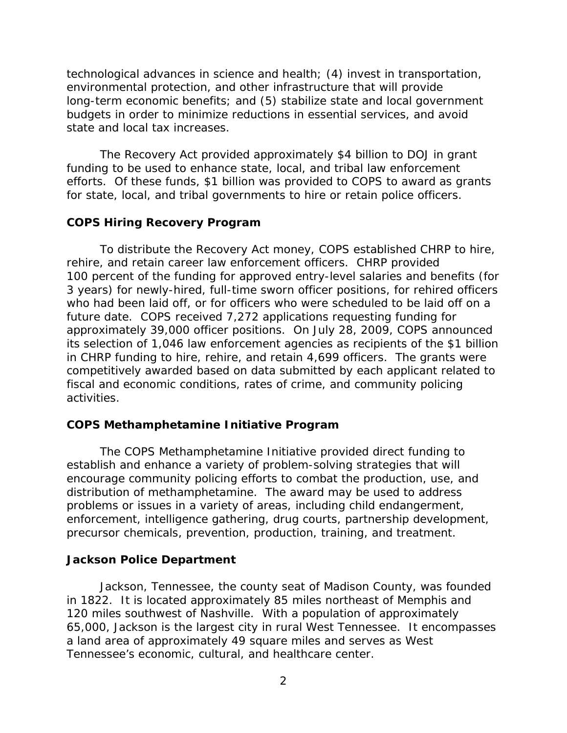<span id="page-5-0"></span> state and local tax increases. technological advances in science and health; (4) invest in transportation, environmental protection, and other infrastructure that will provide long-term economic benefits; and (5) stabilize state and local government budgets in order to minimize reductions in essential services, and avoid

 The Recovery Act provided approximately \$4 billion to DOJ in grant funding to be used to enhance state, local, and tribal law enforcement efforts. Of these funds, \$1 billion was provided to COPS to award as grants for state, local, and tribal governments to hire or retain police officers.

#### **COPS Hiring Recovery Program**

 To distribute the Recovery Act money, COPS established CHRP to hire, in CHRP funding to hire, rehire, and retain 4,699 officers. The grants were fiscal and economic conditions, rates of crime, and community policing activities. rehire, and retain career law enforcement officers. CHRP provided 100 percent of the funding for approved entry-level salaries and benefits (for 3 years) for newly-hired, full-time sworn officer positions, for rehired officers who had been laid off, or for officers who were scheduled to be laid off on a future date. COPS received 7,272 applications requesting funding for approximately 39,000 officer positions. On July 28, 2009, COPS announced its selection of 1,046 law enforcement agencies as recipients of the \$1 billion competitively awarded based on data submitted by each applicant related to

### **COPS Methamphetamine Initiative Program**

 distribution of methamphetamine. The award may be used to address The COPS Methamphetamine Initiative provided direct funding to establish and enhance a variety of problem-solving strategies that will encourage community policing efforts to combat the production, use, and problems or issues in a variety of areas, including child endangerment, enforcement, intelligence gathering, drug courts, partnership development, precursor chemicals, prevention, production, training, and treatment.

### **Jackson Police Department**

 65,000, Jackson is the largest city in rural West Tennessee. It encompasses Tennessee's economic, cultural, and healthcare center. Jackson, Tennessee, the county seat of Madison County, was founded in 1822. It is located approximately 85 miles northeast of Memphis and 120 miles southwest of Nashville. With a population of approximately a land area of approximately 49 square miles and serves as West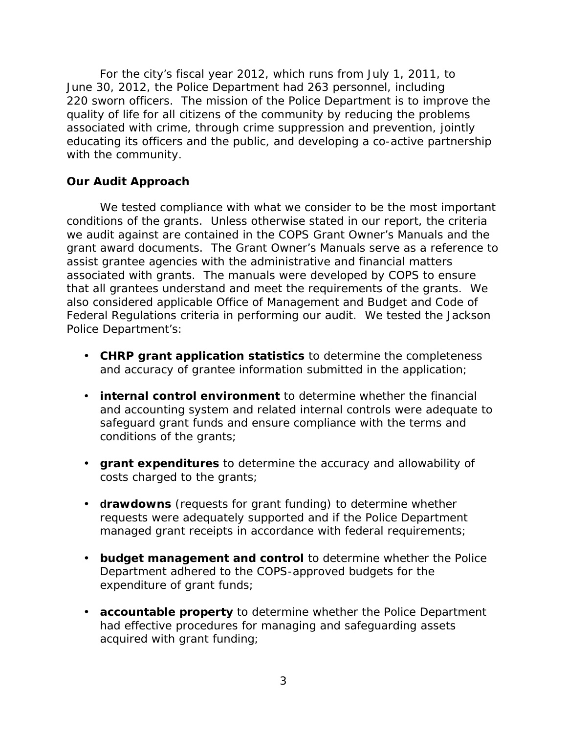<span id="page-6-0"></span> June 30, 2012, the Police Department had 263 personnel, including 220 sworn officers. The mission of the Police Department is to improve the For the city's fiscal year 2012, which runs from July 1, 2011, to quality of life for all citizens of the community by reducing the problems associated with crime, through crime suppression and prevention, jointly educating its officers and the public, and developing a co-active partnership with the community.

## **Our Audit Approach**

 we audit against are contained in the COPS Grant Owner's Manuals and the grant award documents. The Grant Owner's Manuals serve as a reference to Federal Regulations criteria in performing our audit. We tested the Jackson We tested compliance with what we consider to be the most important conditions of the grants. Unless otherwise stated in our report, the criteria assist grantee agencies with the administrative and financial matters associated with grants. The manuals were developed by COPS to ensure that all grantees understand and meet the requirements of the grants. We also considered applicable Office of Management and Budget and Code of Police Department's:

- and accuracy of grantee information submitted in the application; • **CHRP grant application statistics** to determine the completeness
- and accuracy of grantee information submitted in the application;<br>**• internal control environment** to determine whether the financial conditions of the grants; and accounting system and related internal controls were adequate to safeguard grant funds and ensure compliance with the terms and
- conditions of the grants;<br>• **grant expenditures** to determine the accuracy and allowability of costs charged to the grants;
- • **drawdowns** (requests for grant funding) to determine whether requests were adequately supported and if the Police Department managed grant receipts in accordance with federal requirements;
- **budget management and control** to determine whether the Police Department adhered to the COPS-approved budgets for the expenditure of grant funds;
- **accountable property** to determine whether the Police Department acquired with grant funding; had effective procedures for managing and safeguarding assets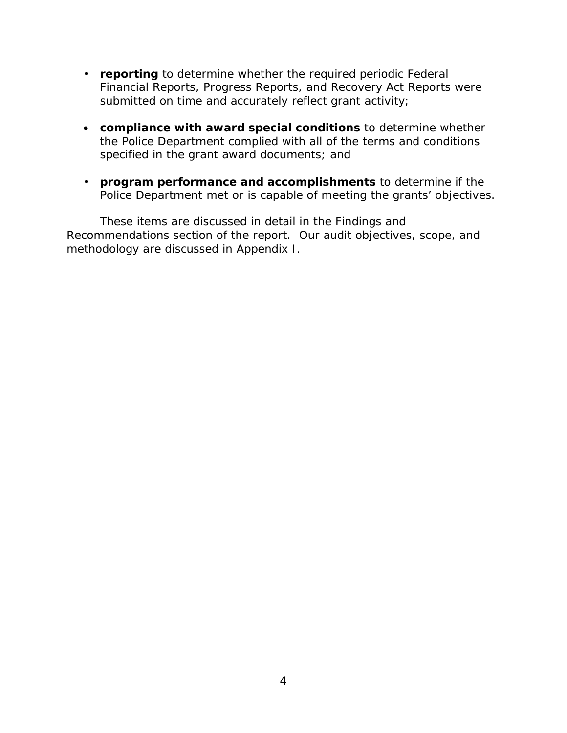- **reporting** to determine whether the required periodic Federal submitted on time and accurately reflect grant activity; Financial Reports, Progress Reports, and Recovery Act Reports were
- specified in the grant award documents; and • **compliance with award special conditions** to determine whether the Police Department complied with all of the terms and conditions
- • **program performance and accomplishments** to determine if the Police Department met or is capable of meeting the grants' objectives.

These items are discussed in detail in the Findings and Recommendations section of the report. Our audit objectives, scope, and methodology are discussed in Appendix I.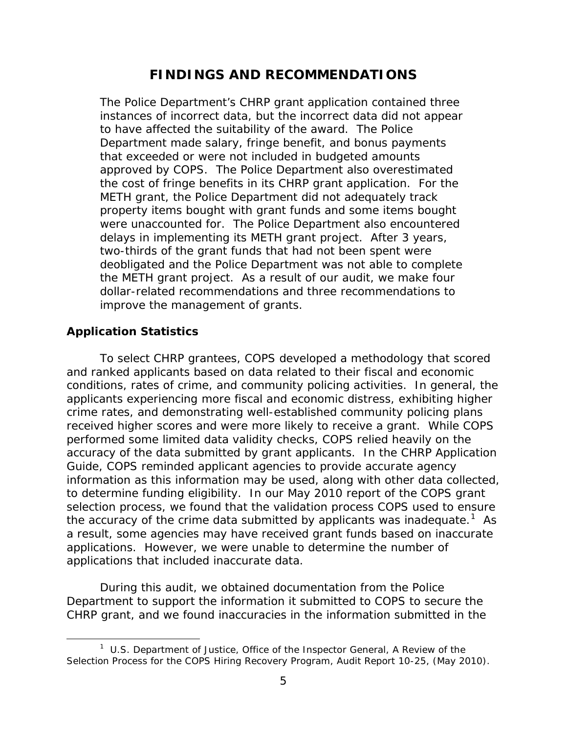# **FINDINGS AND RECOMMENDATIONS**

<span id="page-8-0"></span> Department made salary, fringe benefit, and bonus payments the cost of fringe benefits in its CHRP grant application. For the were unaccounted for. The Police Department also encountered improve the management of grants. The Police Department's CHRP grant application contained three instances of incorrect data, but the incorrect data did not appear to have affected the suitability of the award. The Police that exceeded or were not included in budgeted amounts approved by COPS. The Police Department also overestimated METH grant, the Police Department did not adequately track property items bought with grant funds and some items bought delays in implementing its METH grant project. After 3 years, two-thirds of the grant funds that had not been spent were deobligated and the Police Department was not able to complete the METH grant project. As a result of our audit, we make four dollar-related recommendations and three recommendations to

## **Application Statistics**

l

 performed some limited data validity checks, COPS relied heavily on the accuracy of the data submitted by grant applicants. In the CHRP Application the accuracy of the crime data submitted by applicants was inadequate.<sup>1</sup> As applications. However, we were unable to determine the number of To select CHRP grantees, COPS developed a methodology that scored and ranked applicants based on data related to their fiscal and economic conditions, rates of crime, and community policing activities. In general, the applicants experiencing more fiscal and economic distress, exhibiting higher crime rates, and demonstrating well-established community policing plans received higher scores and were more likely to receive a grant. While COPS Guide, COPS reminded applicant agencies to provide accurate agency information as this information may be used, along with other data collected, to determine funding eligibility. In our May 2010 report of the COPS grant selection process, we found that the validation process COPS used to ensure a result, some agencies may have received grant funds based on inaccurate applications that included inaccurate data.

 During this audit, we obtained documentation from the Police Department to support the information it submitted to COPS to secure the CHRP grant, and we found inaccuracies in the information submitted in the

 1 U.S. Department of Justice, Office of the Inspector General, *A Review of the Selection Process for the COPS Hiring Recovery Program,* Audit Report 10-25, (May 2010).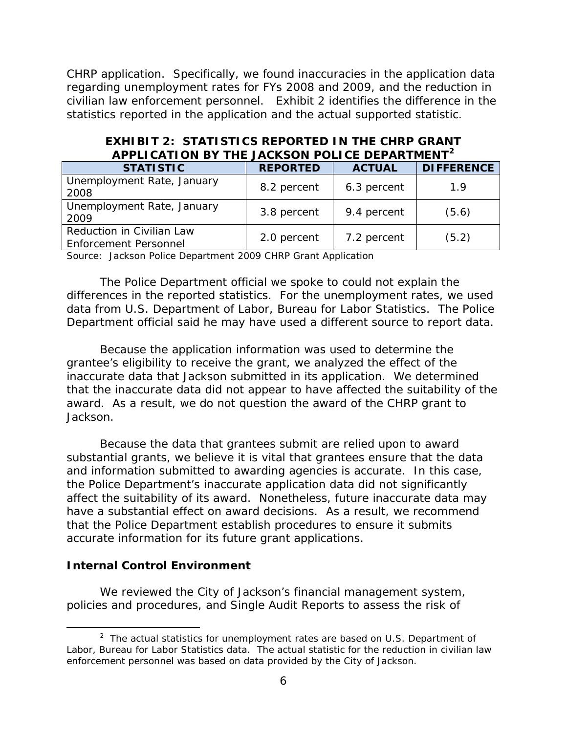CHRP application. Specifically, we found inaccuracies in the application data regarding unemployment rates for FYs 2008 and 2009, and the reduction in civilian law enforcement personnel. Exhibit 2 identifies the difference in the statistics reported in the application and the actual supported statistic.

| APPLICATION BY THE JACKSON POLICE DEPARTMENT              |                 |               |                   |  |
|-----------------------------------------------------------|-----------------|---------------|-------------------|--|
| <b>STATISTIC</b>                                          | <b>REPORTED</b> | <b>ACTUAL</b> | <b>DIFFERENCE</b> |  |
| Unemployment Rate, January<br>2008                        | 8.2 percent     | 6.3 percent   | 1.9               |  |
| Unemployment Rate, January<br>2009                        | 3.8 percent     | 9.4 percent   | (5.6)             |  |
| Reduction in Civilian Law<br><b>Enforcement Personnel</b> | 2.0 percent     | 7.2 percent   | (5.2)             |  |

# **EXHIBIT 2: STATISTICS REPORTED IN THE CHRP GRANT APPLICATION BY THE JACKSON POLICE DEPARTMENT<sup>2</sup>**

Source: Jackson Police Department 2009 CHRP Grant Application

The Police Department official we spoke to could not explain the differences in the reported statistics. For the unemployment rates, we used data from U.S. Department of Labor, Bureau for Labor Statistics. The Police

 Department official said he may have used a different source to report data. Because the application information was used to determine the that the inaccurate data did not appear to have affected the suitability of the award. As a result, we do not question the award of the CHRP grant to Jackson. grantee's eligibility to receive the grant, we analyzed the effect of the inaccurate data that Jackson submitted in its application. We determined

 and information submitted to awarding agencies is accurate. In this case, have a substantial effect on award decisions. As a result, we recommend Because the data that grantees submit are relied upon to award substantial grants, we believe it is vital that grantees ensure that the data the Police Department's inaccurate application data did not significantly affect the suitability of its award. Nonetheless, future inaccurate data may that the Police Department establish procedures to ensure it submits accurate information for its future grant applications.

### **Internal Control Environment**

 $\overline{\phantom{a}}$ 

We reviewed the City of Jackson's financial management system, policies and procedures, and Single Audit Reports to assess the risk of

 $2$  The actual statistics for unemployment rates are based on U.S. Department of Labor, Bureau for Labor Statistics data. The actual statistic for the reduction in civilian law enforcement personnel was based on data provided by the City of Jackson.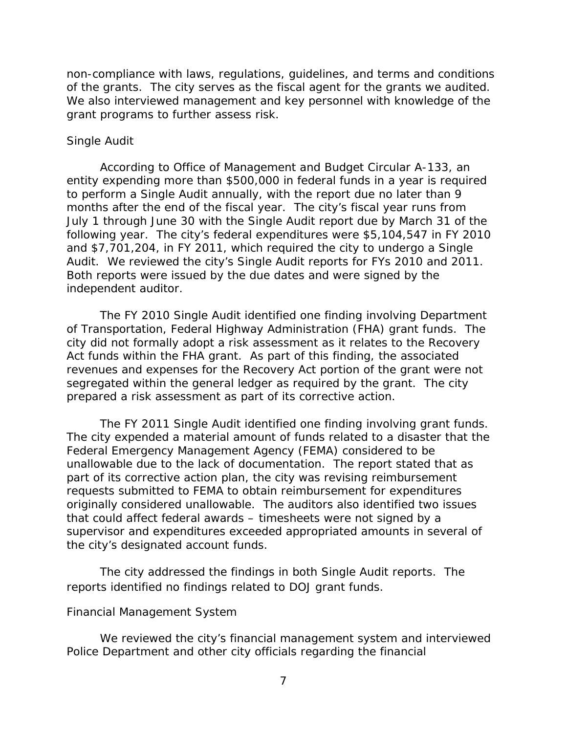<span id="page-10-0"></span> grant programs to further assess risk. non-compliance with laws, regulations, guidelines, and terms and conditions of the grants. The city serves as the fiscal agent for the grants we audited. We also interviewed management and key personnel with knowledge of the

### *Single Audit*

 following year. The city's federal expenditures were \$5,104,547 in FY 2010 and \$7,701,204, in FY 2011, which required the city to undergo a Single independent auditor. According to Office of Management and Budget Circular A-133, an entity expending more than \$500,000 in federal funds in a year is required to perform a Single Audit annually, with the report due no later than 9 months after the end of the fiscal year. The city's fiscal year runs from July 1 through June 30 with the Single Audit report due by March 31 of the Audit. We reviewed the city's Single Audit reports for FYs 2010 and 2011. Both reports were issued by the due dates and were signed by the

 Act funds within the FHA grant. As part of this finding, the associated segregated within the general ledger as required by the grant. The city prepared a risk assessment as part of its corrective action. The FY 2010 Single Audit identified one finding involving Department of Transportation, Federal Highway Administration (FHA) grant funds. The city did not formally adopt a risk assessment as it relates to the Recovery revenues and expenses for the Recovery Act portion of the grant were not

 part of its corrective action plan, the city was revising reimbursement originally considered unallowable. The auditors also identified two issues The FY 2011 Single Audit identified one finding involving grant funds. The city expended a material amount of funds related to a disaster that the Federal Emergency Management Agency (FEMA) considered to be unallowable due to the lack of documentation. The report stated that as requests submitted to FEMA to obtain reimbursement for expenditures that could affect federal awards – timesheets were not signed by a supervisor and expenditures exceeded appropriated amounts in several of the city's designated account funds.

 The city addressed the findings in both Single Audit reports. The reports identified no findings related to DOJ grant funds.

#### *Financial Management System*

 Police Department and other city officials regarding the financial We reviewed the city's financial management system and interviewed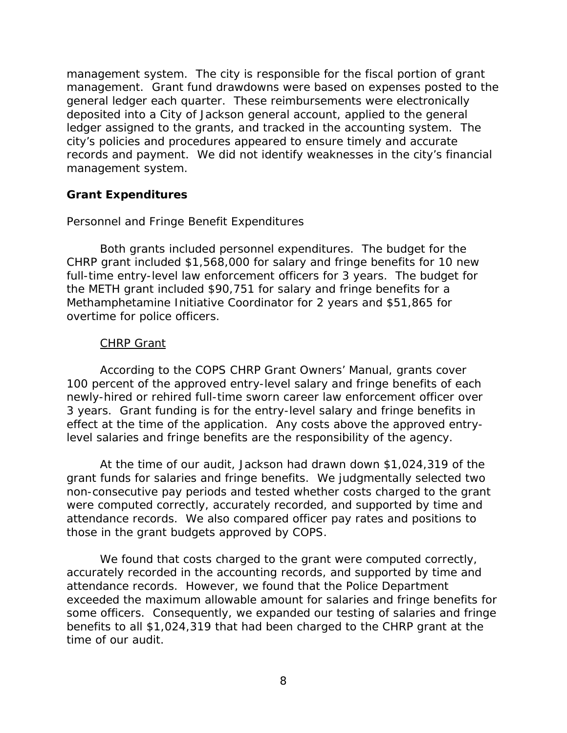<span id="page-11-0"></span> management. Grant fund drawdowns were based on expenses posted to the management system. management system. The city is responsible for the fiscal portion of grant general ledger each quarter. These reimbursements were electronically deposited into a City of Jackson general account, applied to the general ledger assigned to the grants, and tracked in the accounting system. The city's policies and procedures appeared to ensure timely and accurate records and payment. We did not identify weaknesses in the city's financial

## **Grant Expenditures**

### *Personnel and Fringe Benefit Expenditures*

 full-time entry-level law enforcement officers for 3 years. The budget for Both grants included personnel expenditures. The budget for the CHRP grant included \$1,568,000 for salary and fringe benefits for 10 new the METH grant included \$90,751 for salary and fringe benefits for a Methamphetamine Initiative Coordinator for 2 years and \$51,865 for overtime for police officers.

## *CHRP Grant*

 According to the COPS CHRP Grant Owners' Manual, grants cover 3 years. Grant funding is for the entry-level salary and fringe benefits in effect at the time of the application. Any costs above the approved entry-100 percent of the approved entry-level salary and fringe benefits of each newly-hired or rehired full-time sworn career law enforcement officer over level salaries and fringe benefits are the responsibility of the agency.

 At the time of our audit, Jackson had drawn down \$1,024,319 of the grant funds for salaries and fringe benefits. We judgmentally selected two attendance records. We also compared officer pay rates and positions to non-consecutive pay periods and tested whether costs charged to the grant were computed correctly, accurately recorded, and supported by time and those in the grant budgets approved by COPS.

We found that costs charged to the grant were computed correctly, accurately recorded in the accounting records, and supported by time and attendance records. However, we found that the Police Department exceeded the maximum allowable amount for salaries and fringe benefits for some officers. Consequently, we expanded our testing of salaries and fringe benefits to all \$1,024,319 that had been charged to the CHRP grant at the time of our audit.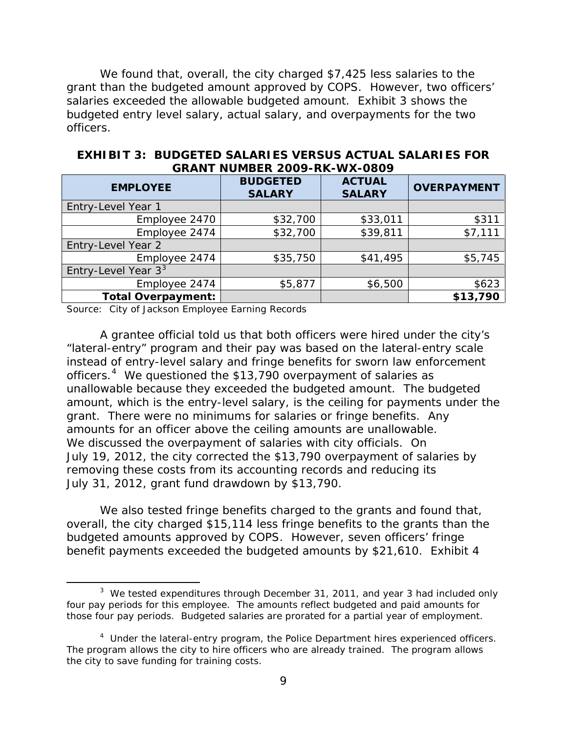grant than the budgeted amount approved by COPS. However, two officers' salaries exceeded the allowable budgeted amount. Exhibit 3 shows the We found that, overall, the city charged \$7,425 less salaries to the budgeted entry level salary, actual salary, and overpayments for the two officers.

| UNITI ITUMPEIN 2007 INN TIYA UUU7 |                                  |                                |                    |  |
|-----------------------------------|----------------------------------|--------------------------------|--------------------|--|
| <b>EMPLOYEE</b>                   | <b>BUDGETED</b><br><b>SALARY</b> | <b>ACTUAL</b><br><b>SALARY</b> | <b>OVERPAYMENT</b> |  |
| Entry-Level Year 1                |                                  |                                |                    |  |
| Employee 2470                     | \$32,700                         | \$33,011                       | \$311              |  |
| Employee 2474                     | \$32,700                         | \$39,811                       | \$7,111            |  |
| Entry-Level Year 2                |                                  |                                |                    |  |
| Employee 2474                     | \$35,750                         | \$41,495                       | \$5,745            |  |
| Entry-Level Year $33$             |                                  |                                |                    |  |
| Employee 2474                     | \$5,877                          | \$6,500                        | \$623              |  |
| <b>Total Overpayment:</b>         |                                  |                                | \$13,790           |  |

**EXHIBIT 3: BUDGETED SALARIES VERSUS ACTUAL SALARIES FOR GRANT NUMBER 2009-RK-WX-0809** 

Source: City of Jackson Employee Earning Records

 $\overline{\phantom{a}}$ 

 "lateral-entry" program and their pay was based on the lateral-entry scale officers.<sup>4</sup> We questioned the \$13,790 overpayment of salaries as amounts for an officer above the ceiling amounts are unallowable. July 31, 2012, grant fund drawdown by \$13,790. A grantee official told us that both officers were hired under the city's instead of entry-level salary and fringe benefits for sworn law enforcement unallowable because they exceeded the budgeted amount. The budgeted amount, which is the entry-level salary, is the ceiling for payments under the grant. There were no minimums for salaries or fringe benefits. Any We discussed the overpayment of salaries with city officials. On July 19, 2012, the city corrected the \$13,790 overpayment of salaries by removing these costs from its accounting records and reducing its

 budgeted amounts approved by COPS. However, seven officers' fringe benefit payments exceeded the budgeted amounts by \$21,610. Exhibit 4 We also tested fringe benefits charged to the grants and found that, overall, the city charged \$15,114 less fringe benefits to the grants than the

 $3$  We tested expenditures through December 31, 2011, and year 3 had included only four pay periods for this employee. The amounts reflect budgeted and paid amounts for those four pay periods. Budgeted salaries are prorated for a partial year of employment.

 $4$  Under the lateral-entry program, the Police Department hires experienced officers. The program allows the city to hire officers who are already trained. The program allows the city to save funding for training costs.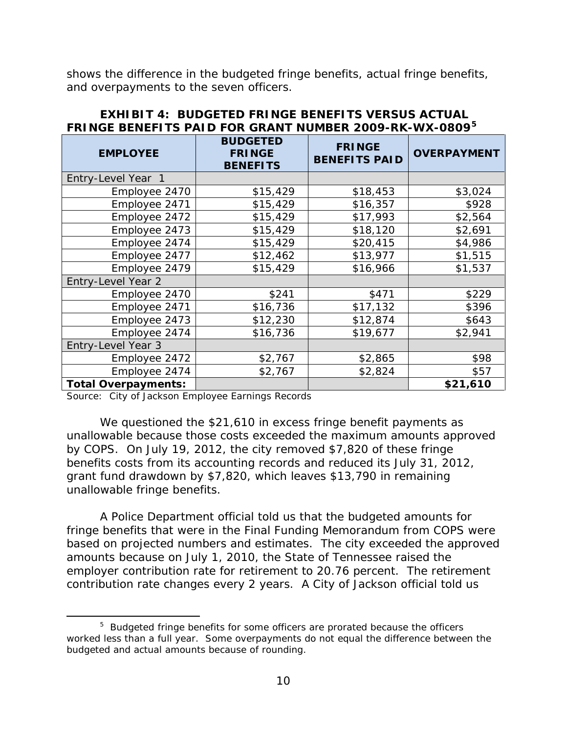shows the difference in the budgeted fringe benefits, actual fringe benefits, and overpayments to the seven officers.

| <b>EMPLOYEE</b>            | <b>BUDGETED</b><br><b>FRINGE</b><br><b>BENEFITS</b> | <b>FRINGE</b><br><b>BENEFITS PAID</b> | <b>OVERPAYMENT</b> |
|----------------------------|-----------------------------------------------------|---------------------------------------|--------------------|
| Entry-Level Year 1         |                                                     |                                       |                    |
| Employee 2470              | \$15,429                                            | \$18,453                              | \$3,024            |
| Employee 2471              | \$15,429                                            | \$16,357                              | \$928              |
| Employee 2472              | \$15,429                                            | \$17,993                              | \$2,564            |
| Employee 2473              | \$15,429                                            | \$18,120                              | \$2,691            |
| Employee 2474              | \$15,429                                            | \$20,415                              | \$4,986            |
| Employee 2477              | \$12,462                                            | \$13,977                              | \$1,515            |
| Employee 2479              | \$15,429                                            | \$16,966                              | \$1,537            |
| Entry-Level Year 2         |                                                     |                                       |                    |
| Employee 2470              | \$241                                               | \$471                                 | \$229              |
| Employee 2471              | \$16,736                                            | \$17,132                              | \$396              |
| Employee 2473              | \$12,230                                            | \$12,874                              | \$643              |
| Employee 2474              | \$16,736                                            | \$19,677                              | \$2,941            |
| Entry-Level Year 3         |                                                     |                                       |                    |
| Employee 2472              | \$2,767                                             | \$2,865                               | \$98               |
| Employee 2474              | \$2,767                                             | \$2,824                               | \$57               |
| <b>Total Overpayments:</b> |                                                     |                                       | \$21,610           |

### **EXHIBIT 4: BUDGETED FRINGE BENEFITS VERSUS ACTUAL FRINGE BENEFITS PAID FOR GRANT NUMBER 2009-RK-WX-0809<sup>5</sup>**

Source: City of Jackson Employee Earnings Records

l

 by COPS. On July 19, 2012, the city removed \$7,820 of these fringe grant fund drawdown by \$7,820, which leaves \$13,790 in remaining We questioned the \$21,610 in excess fringe benefit payments as unallowable because those costs exceeded the maximum amounts approved benefits costs from its accounting records and reduced its July 31, 2012, unallowable fringe benefits.

 A Police Department official told us that the budgeted amounts for employer contribution rate for retirement to 20.76 percent. The retirement contribution rate changes every 2 years. A City of Jackson official told us fringe benefits that were in the Final Funding Memorandum from COPS were based on projected numbers and estimates. The city exceeded the approved amounts because on July 1, 2010, the State of Tennessee raised the

 $5$  Budgeted fringe benefits for some officers are prorated because the officers worked less than a full year. Some overpayments do not equal the difference between the budgeted and actual amounts because of rounding.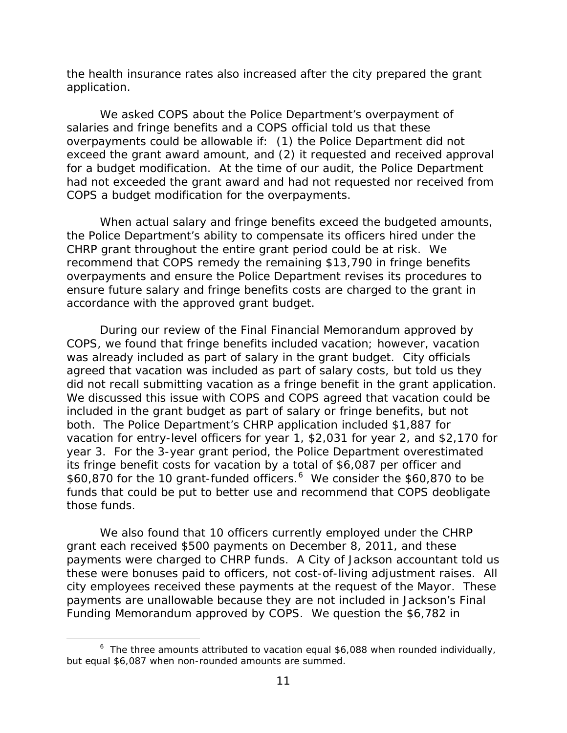application. the health insurance rates also increased after the city prepared the grant

 for a budget modification. At the time of our audit, the Police Department We asked COPS about the Police Department's overpayment of salaries and fringe benefits and a COPS official told us that these overpayments could be allowable if: (1) the Police Department did not exceed the grant award amount, and (2) it requested and received approval had not exceeded the grant award and had not requested nor received from COPS a budget modification for the overpayments.

 CHRP grant throughout the entire grant period could be at risk. We recommend that COPS remedy the remaining \$13,790 in fringe benefits ensure future salary and fringe benefits costs are charged to the grant in accordance with the approved grant budget. When actual salary and fringe benefits exceed the budgeted amounts, the Police Department's ability to compensate its officers hired under the overpayments and ensure the Police Department revises its procedures to

 did not recall submitting vacation as a fringe benefit in the grant application. included in the grant budget as part of salary or fringe benefits, but not vacation for entry-level officers for year 1, \$2,031 for year 2, and \$2,170 for year 3. For the 3-year grant period, the Police Department overestimated \$60,870 for the 10 grant-funded officers.<sup>6</sup> We consider the \$60,870 to be funds that could be put to better use and recommend that COPS deobligate those funds. During our review of the Final Financial Memorandum approved by COPS, we found that fringe benefits included vacation; however, vacation was already included as part of salary in the grant budget. City officials agreed that vacation was included as part of salary costs, but told us they We discussed this issue with COPS and COPS agreed that vacation could be both. The Police Department's CHRP application included \$1,887 for its fringe benefit costs for vacation by a total of \$6,087 per officer and

 city employees received these payments at the request of the Mayor. These Funding Memorandum approved by COPS. We question the \$6,782 in We also found that 10 officers currently employed under the CHRP grant each received \$500 payments on December 8, 2011, and these payments were charged to CHRP funds. A City of Jackson accountant told us these were bonuses paid to officers, not cost-of-living adjustment raises. All payments are unallowable because they are not included in Jackson's Final

l

 $^6$  The three amounts attributed to vacation equal \$6,088 when rounded individually, but equal \$6,087 when non-rounded amounts are summed.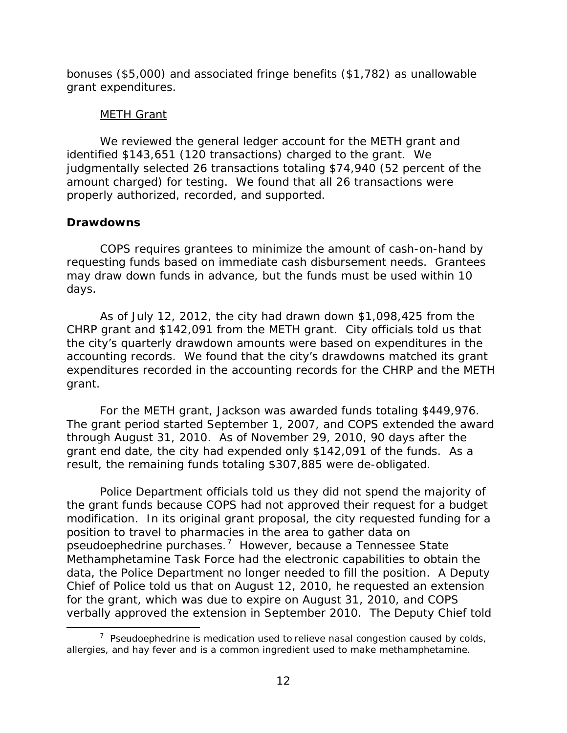<span id="page-15-0"></span> bonuses (\$5,000) and associated fringe benefits (\$1,782) as unallowable grant expenditures.

## *METH Grant*

 identified \$143,651 (120 transactions) charged to the grant. We judgmentally selected 26 transactions totaling \$74,940 (52 percent of the properly authorized, recorded, and supported. We reviewed the general ledger account for the METH grant and amount charged) for testing. We found that all 26 transactions were

## **Drawdowns**

 $\overline{\phantom{a}}$ 

 requesting funds based on immediate cash disbursement needs. Grantees may draw down funds in advance, but the funds must be used within 10 days. COPS requires grantees to minimize the amount of cash-on-hand by

 CHRP grant and \$142,091 from the METH grant. City officials told us that grant. As of July 12, 2012, the city had drawn down  $$1,098,425$  from the the city's quarterly drawdown amounts were based on expenditures in the accounting records. We found that the city's drawdowns matched its grant expenditures recorded in the accounting records for the CHRP and the METH

For the METH grant, Jackson was awarded funds totaling \$449,976. The grant period started September 1, 2007, and COPS extended the award through August 31, 2010. As of November 29, 2010, 90 days after the grant end date, the city had expended only \$142,091 of the funds. As a result, the remaining funds totaling \$307,885 were de-obligated.

 Police Department officials told us they did not spend the majority of the grant funds because COPS had not approved their request for a budget pseudoephedrine purchases. $7$  However, because a Tennessee State Methamphetamine Task Force had the electronic capabilities to obtain the for the grant, which was due to expire on August 31, 2010, and COPS modification. In its original grant proposal, the city requested funding for a position to travel to pharmacies in the area to gather data on data, the Police Department no longer needed to fill the position. A Deputy Chief of Police told us that on August 12, 2010, he requested an extension verbally approved the extension in September 2010. The Deputy Chief told

 $7$  Pseudoephedrine is medication used to relieve nasal congestion caused by colds, allergies, and hay fever and is a common ingredient used to make methamphetamine.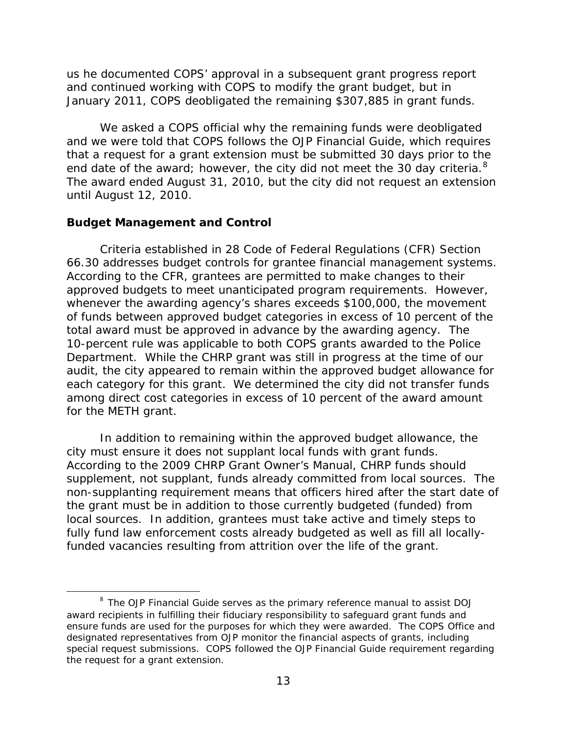<span id="page-16-0"></span>us he documented COPS' approval in a subsequent grant progress report and continued working with COPS to modify the grant budget, but in

 January 2011, COPS deobligated the remaining \$307,885 in grant funds. We asked a COPS official why the remaining funds were deobligated end date of the award; however, the city did not meet the 30 day criteria.  $8$  until August 12, 2010. and we were told that COPS follows the OJP Financial Guide, which requires that a request for a grant extension must be submitted 30 days prior to the The award ended August 31, 2010, but the city did not request an extension

#### **Budget Management and Control**

 $\overline{\phantom{a}}$ 

 Criteria established in 28 Code of Federal Regulations (CFR) Section 66.30 addresses budget controls for grantee financial management systems. total award must be approved in advance by the awarding agency. The each category for this grant. We determined the city did not transfer funds for the METH grant. According to the CFR, grantees are permitted to make changes to their approved budgets to meet unanticipated program requirements. However, whenever the awarding agency's shares exceeds \$100,000, the movement of funds between approved budget categories in excess of 10 percent of the 10-percent rule was applicable to both COPS grants awarded to the Police Department. While the CHRP grant was still in progress at the time of our audit, the city appeared to remain within the approved budget allowance for among direct cost categories in excess of 10 percent of the award amount

city must ensure it does not supplant local funds with grant funds. city must ensure it does not supplant local funds with grant funds.<br>According to the 2009 CHRP Grant Owner's Manual, CHRP funds should non-supplanting requirement means that officers hired after the start date of local sources. In addition, grantees must take active and timely steps to In addition to remaining within the approved budget allowance, the supplement, not supplant, funds already committed from local sources. The the grant must be in addition to those currently budgeted (funded) from fully fund law enforcement costs already budgeted as well as fill all locallyfunded vacancies resulting from attrition over the life of the grant.

<sup>&</sup>lt;sup>8</sup> The OJP Financial Guide serves as the primary reference manual to assist DOJ award recipients in fulfilling their fiduciary responsibility to safeguard grant funds and ensure funds are used for the purposes for which they were awarded. The COPS Office and designated representatives from OJP monitor the financial aspects of grants, including special request submissions. COPS followed the OJP Financial Guide requirement regarding the request for a grant extension.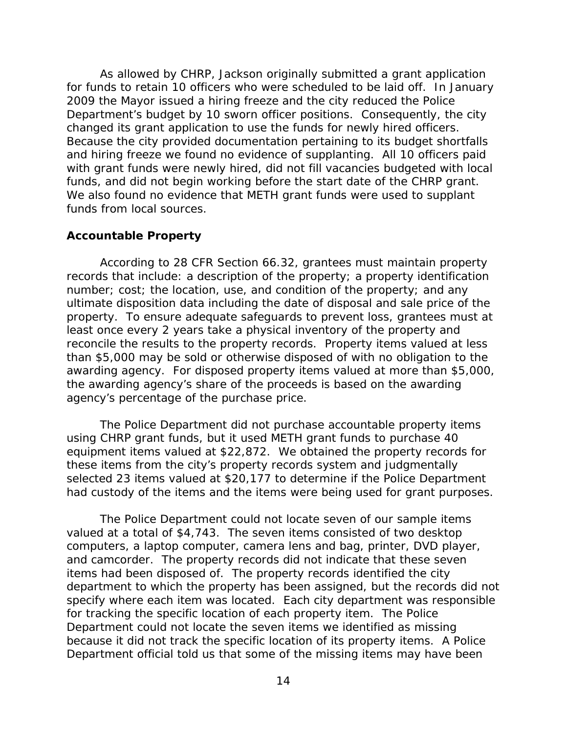<span id="page-17-0"></span> 2009 the Mayor issued a hiring freeze and the city reduced the Police changed its grant application to use the funds for newly hired officers. funds, and did not begin working before the start date of the CHRP grant. As allowed by CHRP, Jackson originally submitted a grant application for funds to retain 10 officers who were scheduled to be laid off. In January Department's budget by 10 sworn officer positions. Consequently, the city Because the city provided documentation pertaining to its budget shortfalls and hiring freeze we found no evidence of supplanting. All 10 officers paid with grant funds were newly hired, did not fill vacancies budgeted with local We also found no evidence that METH grant funds were used to supplant funds from local sources.

#### **Accountable Property**

 property. To ensure adequate safeguards to prevent loss, grantees must at reconcile the results to the property records. Property items valued at less awarding agency. For disposed property items valued at more than \$5,000, agency's percentage of the purchase price. According to 28 CFR Section 66.32, grantees must maintain property records that include: a description of the property; a property identification number; cost; the location, use, and condition of the property; and any ultimate disposition data including the date of disposal and sale price of the least once every 2 years take a physical inventory of the property and than \$5,000 may be sold or otherwise disposed of with no obligation to the the awarding agency's share of the proceeds is based on the awarding

 using CHRP grant funds, but it used METH grant funds to purchase 40 equipment items valued at \$22,872. We obtained the property records for The Police Department did not purchase accountable property items these items from the city's property records system and judgmentally selected 23 items valued at \$20,177 to determine if the Police Department

 had custody of the items and the items were being used for grant purposes. The Police Department could not locate seven of our sample items valued at a total of \$4,743. The seven items consisted of two desktop and camcorder. The property records did not indicate that these seven items had been disposed of. The property records identified the city specify where each item was located. Each city department was responsible for tracking the specific location of each property item. The Police because it did not track the specific location of its property items. A Police Department official told us that some of the missing items may have been computers, a laptop computer, camera lens and bag, printer, DVD player, department to which the property has been assigned, but the records did not Department could not locate the seven items we identified as missing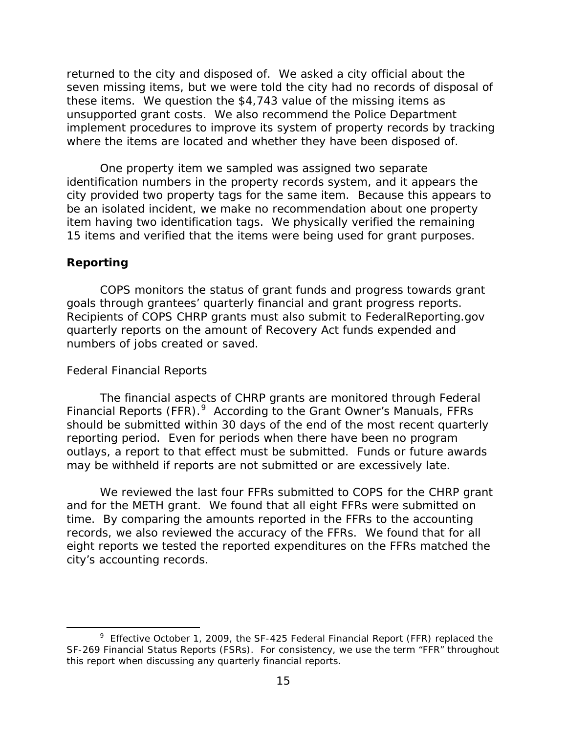<span id="page-18-0"></span> these items. We question the \$4,743 value of the missing items as implement procedures to improve its system of property records by tracking where the items are located and whether they have been disposed of. returned to the city and disposed of. We asked a city official about the seven missing items, but we were told the city had no records of disposal of unsupported grant costs. We also recommend the Police Department

 item having two identification tags. We physically verified the remaining 15 items and verified that the items were being used for grant purposes. One property item we sampled was assigned two separate identification numbers in the property records system, and it appears the city provided two property tags for the same item. Because this appears to be an isolated incident, we make no recommendation about one property

#### **Reporting**

 $\overline{\phantom{a}}$ 

goals through grantees' quarterly financial and grant progress reports. numbers of jobs created or saved. COPS monitors the status of grant funds and progress towards grant Recipients of COPS CHRP grants must also submit to FederalReporting.gov quarterly reports on the amount of Recovery Act funds expended and

#### *Federal Financial Reports*

Financial Reports (FFR).<sup>9</sup> According to the Grant Owner's Manuals, FFRs outlays, a report to that effect must be submitted. Funds or future awards may be withheld if reports are not submitted or are excessively late. The financial aspects of CHRP grants are monitored through Federal should be submitted within 30 days of the end of the most recent quarterly reporting period. Even for periods when there have been no program

 and for the METH grant. We found that all eight FFRs were submitted on time. By comparing the amounts reported in the FFRs to the accounting records, we also reviewed the accuracy of the FFRs. We found that for all city's accounting records. city's accounting records. 9 Effective October 1, 2009, the SF-425 Federal Financial Report (FFR) replaced the We reviewed the last four FFRs submitted to COPS for the CHRP grant eight reports we tested the reported expenditures on the FFRs matched the

 SF-269 Financial Status Reports (FSRs). For consistency, we use the term "FFR" throughout this report when discussing any quarterly financial reports.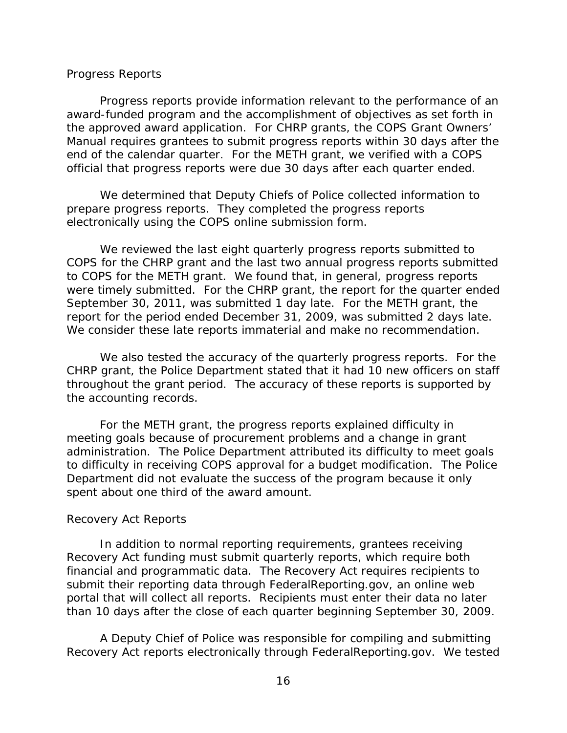#### <span id="page-19-0"></span>*Progress Reports*

 award-funded program and the accomplishment of objectives as set forth in the approved award application. For CHRP grants, the COPS Grant Owners' official that progress reports were due 30 days after each quarter ended. Progress reports provide information relevant to the performance of an Manual requires grantees to submit progress reports within 30 days after the end of the calendar quarter. For the METH grant, we verified with a COPS

 prepare progress reports. They completed the progress reports electronically using the COPS online submission form. We determined that Deputy Chiefs of Police collected information to

 COPS for the CHRP grant and the last two annual progress reports submitted to COPS for the METH grant. We found that, in general, progress reports were timely submitted. For the CHRP grant, the report for the quarter ended report for the period ended December 31, 2009, was submitted 2 days late. We reviewed the last eight quarterly progress reports submitted to September 30, 2011, was submitted 1 day late. For the METH grant, the We consider these late reports immaterial and make no recommendation.

 CHRP grant, the Police Department stated that it had 10 new officers on staff the accounting records. We also tested the accuracy of the quarterly progress reports. For the throughout the grant period. The accuracy of these reports is supported by

 meeting goals because of procurement problems and a change in grant administration. The Police Department attributed its difficulty to meet goals spent about one third of the award amount. For the METH grant, the progress reports explained difficulty in to difficulty in receiving COPS approval for a budget modification. The Police Department did not evaluate the success of the program because it only

#### *Recovery Act Reports*

 financial and programmatic data. The Recovery Act requires recipients to portal that will collect all reports. Recipients must enter their data no later In addition to normal reporting requirements, grantees receiving Recovery Act funding must submit quarterly reports, which require both submit their reporting data through FederalReporting.gov, an online web

than 10 days after the close of each quarter beginning September 30, 2009.<br>A Deputy Chief of Police was responsible for compiling and submitting A Deputy Chief of Police was responsible for compiling and submitting Recovery Act reports electronically through FederalReporting.gov. We tested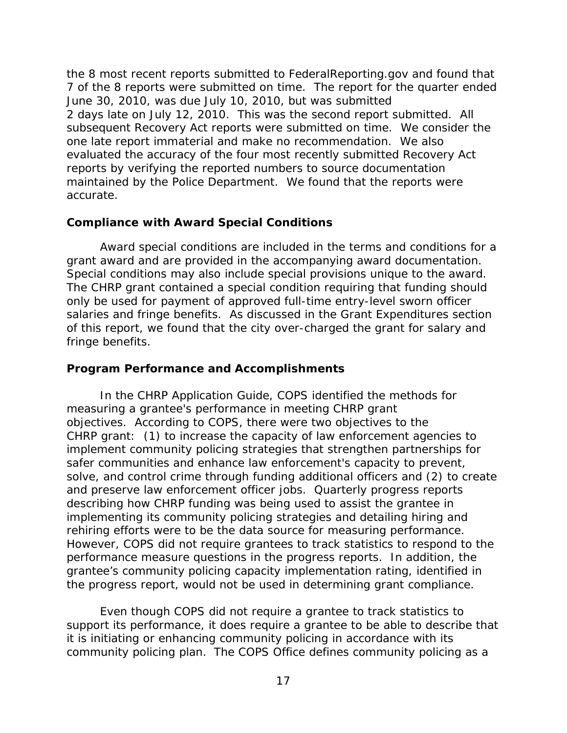<span id="page-20-0"></span> 7 of the 8 reports were submitted on time. The report for the quarter ended 2 days late on July 12, 2010. This was the second report submitted. All subsequent Recovery Act reports were submitted on time. We consider the evaluated the accuracy of the four most recently submitted Recovery Act accurate. the 8 most recent reports submitted to FederalReporting.gov and found that June 30, 2010, was due July 10, 2010, but was submitted one late report immaterial and make no recommendation. We also reports by verifying the reported numbers to source documentation maintained by the Police Department. We found that the reports were

### **Compliance with Award Special Conditions**

grant award and are provided in the accompanying award documentation. grant award and are provided in the accompanying award documentation.<br>Special conditions may also include special provisions unique to the award. Award special conditions are included in the terms and conditions for a The CHRP grant contained a special condition requiring that funding should only be used for payment of approved full-time entry-level sworn officer salaries and fringe benefits. As discussed in the Grant Expenditures section of this report, we found that the city over-charged the grant for salary and fringe benefits.

## **Program Performance and Accomplishments**

 In the CHRP Application Guide, COPS identified the methods for objectives. According to COPS, there were two objectives to the and preserve law enforcement officer jobs. Quarterly progress reports rehiring efforts were to be the data source for measuring performance. performance measure questions in the progress reports. In addition, the measuring a grantee's performance in meeting CHRP grant CHRP grant: (1) to increase the capacity of law enforcement agencies to implement community policing strategies that strengthen partnerships for safer communities and enhance law enforcement's capacity to prevent, solve, and control crime through funding additional officers and (2) to create describing how CHRP funding was being used to assist the grantee in implementing its community policing strategies and detailing hiring and However, COPS did not require grantees to track statistics to respond to the grantee's community policing capacity implementation rating, identified in

 the progress report, would not be used in determining grant compliance. Even though COPS did not require a grantee to track statistics to Even though COPS did not require a grantee to track statistics to support its performance, it does require a grantee to be able to describe that community policing plan. The COPS Office defines community policing as a it is initiating or enhancing community policing in accordance with its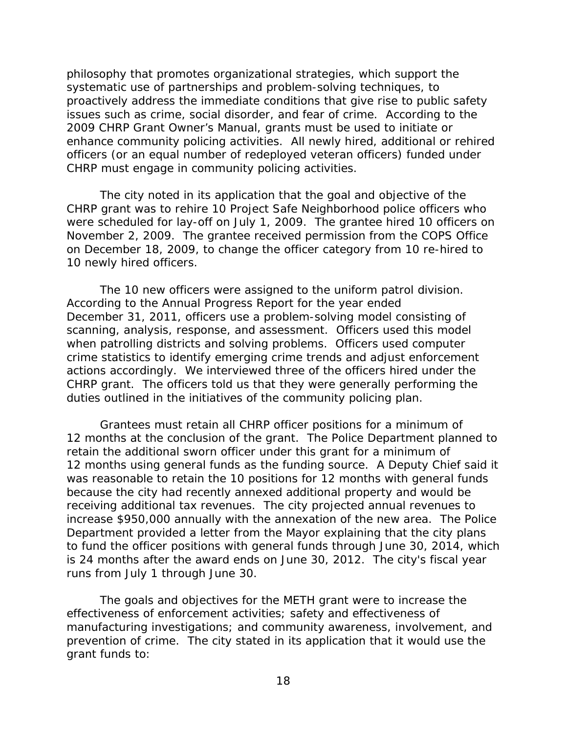issues such as crime, social disorder, and fear of crime. According to the enhance community policing activities. All newly hired, additional or rehired philosophy that promotes organizational strategies, which support the systematic use of partnerships and problem-solving techniques, to proactively address the immediate conditions that give rise to public safety 2009 CHRP Grant Owner's Manual, grants must be used to initiate or officers (or an equal number of redeployed veteran officers) funded under CHRP must engage in community policing activities.

 The city noted in its application that the goal and objective of the were scheduled for lay-off on July 1, 2009. The grantee hired 10 officers on 10 newly hired officers. CHRP grant was to rehire 10 Project Safe Neighborhood police officers who November 2, 2009. The grantee received permission from the COPS Office on December 18, 2009, to change the officer category from 10 re-hired to

The 10 new officers were assigned to the uniform patrol division. 10 newly hired officers. The 10 new officers were assigned to the uniform patrol division. According to the Annual Progress Report for the year ended scanning, analysis, response, and assessment. Officers used this model actions accordingly. We interviewed three of the officers hired under the CHRP grant. The officers told us that they were generally performing the December 31, 2011, officers use a problem-solving model consisting of when patrolling districts and solving problems. Officers used computer crime statistics to identify emerging crime trends and adjust enforcement duties outlined in the initiatives of the community policing plan. Grantees must retain all CHRP officer positions for a minimum of

 12 months using general funds as the funding source. A Deputy Chief said it receiving additional tax revenues. The city projected annual revenues to increase \$950,000 annually with the annexation of the new area. The Police is 24 months after the award ends on June 30, 2012. The city's fiscal year 12 months at the conclusion of the grant. The Police Department planned to retain the additional sworn officer under this grant for a minimum of was reasonable to retain the 10 positions for 12 months with general funds because the city had recently annexed additional property and would be Department provided a letter from the Mayor explaining that the city plans to fund the officer positions with general funds through June 30, 2014, which runs from July 1 through June 30.

 The goals and objectives for the METH grant were to increase the prevention of crime. The city stated in its application that it would use the effectiveness of enforcement activities; safety and effectiveness of manufacturing investigations; and community awareness, involvement, and grant funds to: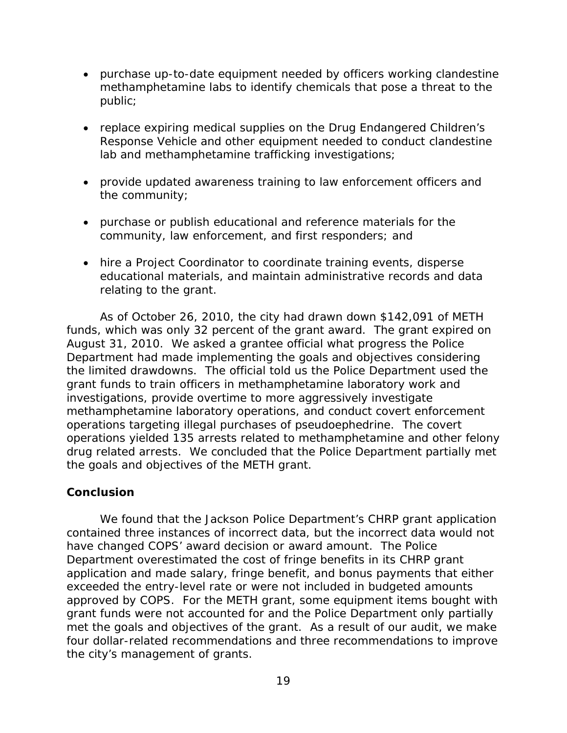- <span id="page-22-0"></span> public; • purchase up-to-date equipment needed by officers working clandestine methamphetamine labs to identify chemicals that pose a threat to the
- lab and methamphetamine trafficking investigations; • replace expiring medical supplies on the Drug Endangered Children's Response Vehicle and other equipment needed to conduct clandestine
- the community; • provide updated awareness training to law enforcement officers and
- community, law enforcement, and first responders; and • purchase or publish educational and reference materials for the
- hire a Project Coordinator to coordinate training events, disperse educational materials, and maintain administrative records and data relating to the grant.

 As of October 26, 2010, the city had drawn down \$142,091 of METH funds, which was only 32 percent of the grant award. The grant expired on grant funds to train officers in methamphetamine laboratory work and operations targeting illegal purchases of pseudoephedrine. The covert August 31, 2010. We asked a grantee official what progress the Police Department had made implementing the goals and objectives considering the limited drawdowns. The official told us the Police Department used the investigations, provide overtime to more aggressively investigate methamphetamine laboratory operations, and conduct covert enforcement operations yielded 135 arrests related to methamphetamine and other felony drug related arrests. We concluded that the Police Department partially met the goals and objectives of the METH grant.

### **Conclusion**

 Department overestimated the cost of fringe benefits in its CHRP grant We found that the Jackson Police Department's CHRP grant application contained three instances of incorrect data, but the incorrect data would not have changed COPS' award decision or award amount. The Police application and made salary, fringe benefit, and bonus payments that either exceeded the entry-level rate or were not included in budgeted amounts approved by COPS. For the METH grant, some equipment items bought with grant funds were not accounted for and the Police Department only partially met the goals and objectives of the grant. As a result of our audit, we make four dollar-related recommendations and three recommendations to improve the city's management of grants.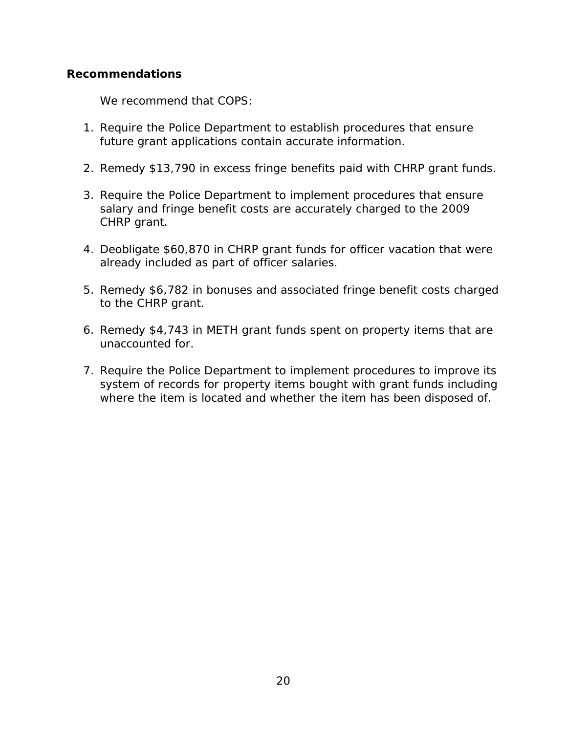## <span id="page-23-0"></span>**Recommendations**

We recommend that COPS:

- future grant applications contain accurate information. 1. Require the Police Department to establish procedures that ensure
- 2. Remedy \$13,790 in excess fringe benefits paid with CHRP grant funds.
- salary and fringe benefit costs are accurately charged to the 2009 3. Require the Police Department to implement procedures that ensure CHRP grant.
- 4. Deobligate \$60,870 in CHRP grant funds for officer vacation that were already included as part of officer salaries.
- 5. Remedy \$6,782 in bonuses and associated fringe benefit costs charged to the CHRP grant.
- unaccounted for. 6. Remedy \$4,743 in METH grant funds spent on property items that are
- 7. Require the Police Department to implement procedures to improve its system of records for property items bought with grant funds including where the item is located and whether the item has been disposed of.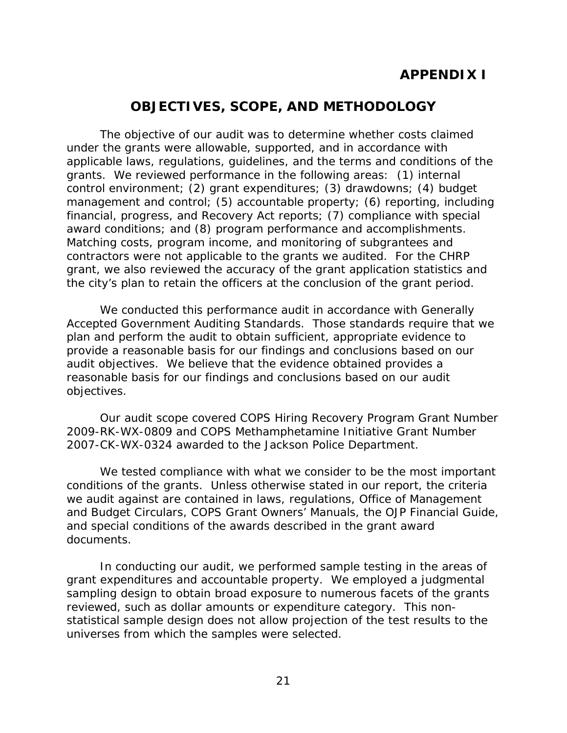# **APPENDIX I**

# **OBJECTIVES, SCOPE, AND METHODOLOGY**

<span id="page-24-0"></span> The objective of our audit was to determine whether costs claimed grants. We reviewed performance in the following areas: (1) internal financial, progress, and Recovery Act reports; (7) compliance with special award conditions; and (8) program performance and accomplishments. contractors were not applicable to the grants we audited. For the CHRP the city's plan to retain the officers at the conclusion of the grant period. under the grants were allowable, supported, and in accordance with applicable laws, regulations, guidelines, and the terms and conditions of the control environment; (2) grant expenditures; (3) drawdowns; (4) budget management and control; (5) accountable property; (6) reporting, including Matching costs, program income, and monitoring of subgrantees and grant, we also reviewed the accuracy of the grant application statistics and

 Accepted Government Auditing Standards. Those standards require that we reasonable basis for our findings and conclusions based on our audit We conducted this performance audit in accordance with Generally plan and perform the audit to obtain sufficient, appropriate evidence to provide a reasonable basis for our findings and conclusions based on our audit objectives. We believe that the evidence obtained provides a objectives.

2007-CK-WX-0324 awarded to the Jackson Police Department. Our audit scope covered COPS Hiring Recovery Program Grant Number 2009-RK-WX-0809 and COPS Methamphetamine Initiative Grant Number

 and special conditions of the awards described in the grant award We tested compliance with what we consider to be the most important. conditions of the grants. Unless otherwise stated in our report, the criteria we audit against are contained in laws, regulations, Office of Management and Budget Circulars, COPS Grant Owners' Manuals, the OJP Financial Guide, documents.

 grant expenditures and accountable property. We employed a judgmental statistical sample design does not allow projection of the test results to the In conducting our audit, we performed sample testing in the areas of sampling design to obtain broad exposure to numerous facets of the grants reviewed, such as dollar amounts or expenditure category. This nonuniverses from which the samples were selected.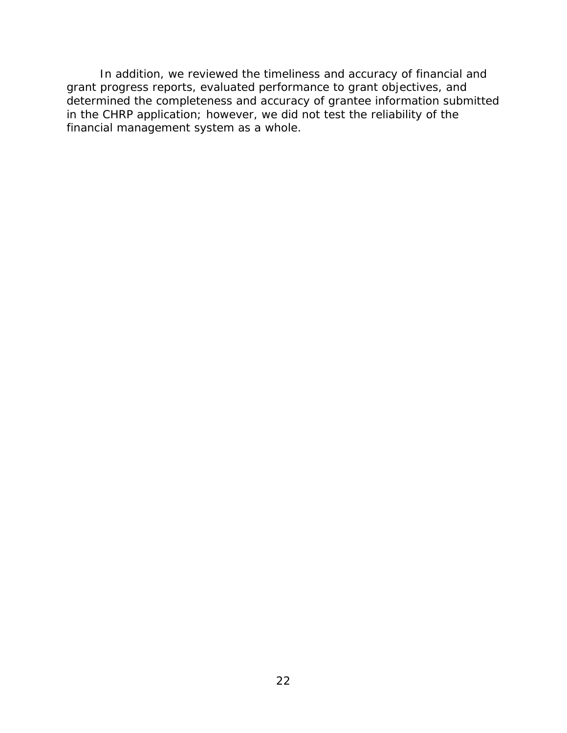In addition, we reviewed the timeliness and accuracy of financial and grant progress reports, evaluated performance to grant objectives, and determined the completeness and accuracy of grantee information submitted in the CHRP application; however, we did not test the reliability of the financial management system as a whole.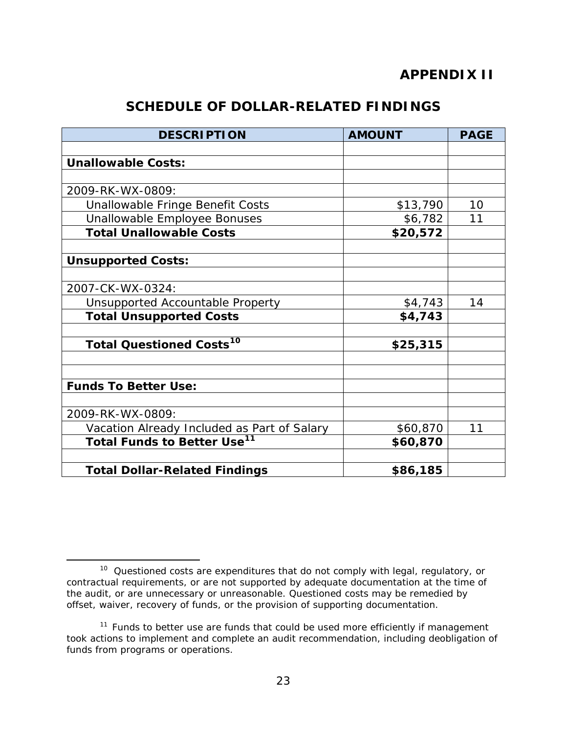# **APPENDIX II**

# **SCHEDULE OF DOLLAR-RELATED FINDINGS**

| <b>DESCRIPTION</b>                            | <b>AMOUNT</b> | <b>PAGE</b> |
|-----------------------------------------------|---------------|-------------|
|                                               |               |             |
| <b>Unallowable Costs:</b>                     |               |             |
|                                               |               |             |
| 2009-RK-WX-0809:                              |               |             |
| Unallowable Fringe Benefit Costs              | \$13,790      | 10          |
| Unallowable Employee Bonuses                  | \$6,782       | 11          |
| <b>Total Unallowable Costs</b>                | \$20,572      |             |
|                                               |               |             |
| <b>Unsupported Costs:</b>                     |               |             |
|                                               |               |             |
| 2007-CK-WX-0324:                              |               |             |
| Unsupported Accountable Property              | \$4,743       | 14          |
| <b>Total Unsupported Costs</b>                | \$4,743       |             |
|                                               |               |             |
| <b>Total Questioned Costs<sup>10</sup></b>    | \$25,315      |             |
|                                               |               |             |
|                                               |               |             |
| <b>Funds To Better Use:</b>                   |               |             |
|                                               |               |             |
| 2009-RK-WX-0809:                              |               |             |
| Vacation Already Included as Part of Salary   | \$60,870      | 11          |
| <b>Total Funds to Better Use<sup>11</sup></b> | \$60,870      |             |
|                                               |               |             |
| <b>Total Dollar-Related Findings</b>          | \$86,185      |             |

l

<sup>&</sup>lt;sup>10</sup> Questioned costs are expenditures that do not comply with legal, regulatory, or contractual requirements, or are not supported by adequate documentation at the time of the audit, or are unnecessary or unreasonable. Questioned costs may be remedied by offset, waiver, recovery of funds, or the provision of supporting documentation.

 $11$  Funds to better use are funds that could be used more efficiently if management took actions to implement and complete an audit recommendation, including deobligation of funds from programs or operations.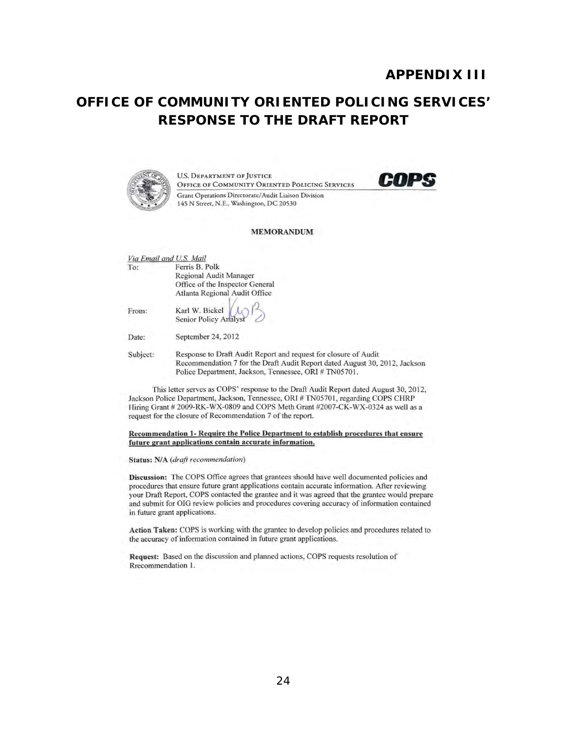# **RESPONSE TO THE DRAFT REPORT OFFICE OF COMMUNITY ORIENTED POLICING SERVICES'**



**U.S. DEPARTMENT OF JUSTICE** U.S. DEPARTMENT OF JUSTICE<br>Office of Community Oriented Policing Services **COPS** Gram Operations Directorate/ Audit Liaison Division 145 N Street, N.E., Washington, DC 20530



#### MEMORANDUM

| To:      | Ferris B. Polk                                                             |
|----------|----------------------------------------------------------------------------|
|          | Regional Audit Manager                                                     |
|          | Office of the Inspector General                                            |
|          | Atlanta Regional Audit Office                                              |
| From:    | Karl W. Bickel (A)                                                         |
| Date:    | September 24, 2012                                                         |
| Subject: | Response to Draft Audit Report and request for closure of Audit            |
|          | Recommendation 7 for the Draft Audit Report dated August 30, 2012, Jackson |
|          | Police Department, Jackson, Tennessee, ORI # TN05701.                      |

This letter serves as COPS' response to the Draft Audit Report dated August 30, 2012, Jackson Police Department, Jackson, Tennessee, ORI # TN05701, regarding COPS CHRP Hiring Grant # 2009-RK-WX-0809 and COPS Meth Grant #2007-CK-WX-0324 as well as a request for the closure of Recommendation 7 of the report.

Recommendation 1- Require the Police Denartment to establish procedures that ensure future grant applications contain accurate information.

#### Status: N/A *(draft recommendation)*

Discussion: The COPS Office agrees that grantees should have well documented policies and procedures that ensure future grant applications contain accurate information. After reviewing your Draft Report, COPS contacted the grantee and it was agreed that the grantee would prepare and submit for OIG review policies and procedures covering accuracy of information contained in future grant applications.

Action Taken: COPS is working with the grantee to develop policies and procedures related to the accuracy of information contained in future grant applications.

Request: Based on the discussion and planned actions, COPS requests resolution of Rrecommendation 1.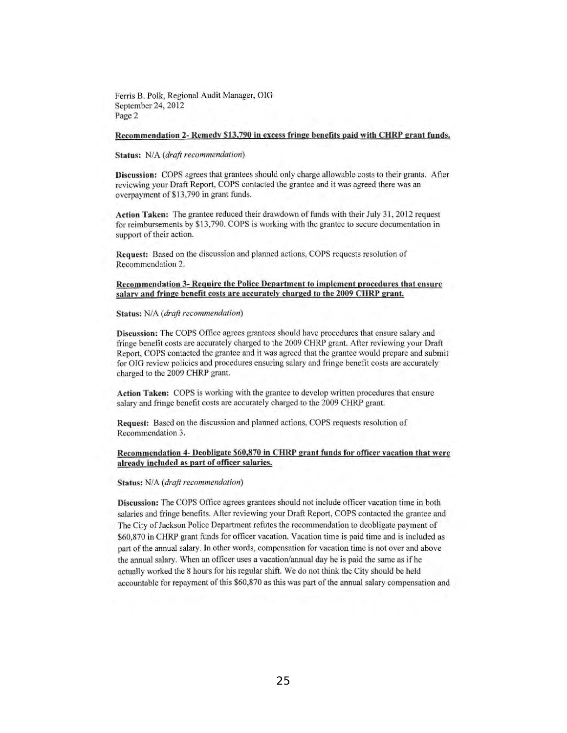Ferris B. Polk, Regional Audit Manager, DIG September 24, 2012 Page 2

#### Recommendation 2- Remedv \$13,790 in excess fringe benefits paid with CHRP grant funds.

#### Status: *N/A (draft recommendation)*

Discussion: COPS agrees that grantees should only charge allowable costs to their grants. After reviewing your Draft Report, COPS contacted the grantee and it was agreed there was an overpayment of \$13,790 in grant funds.

Action Taken: The grantee reduced their drawdown of funds with their July 31, 2012 request for reimbursements by \$13,790. COPS is working with the grantee to secure documentation in support of their action.

Request: Based on the discussion and planned actions, COPS requests resolution of Recommendation 2.

#### Recommendation 3- Require the Police Department to implement procedures that ensure salary and fringe benefit costs are accurately charged to the 2009 CHRP grant.

#### Status: *N/A (draft recommendation)*

Discussion: The COPS Office agrees grantees should have procedures that ensure salary and fringe benefit costs are accurately charged to the 2009 CHRP grant. After reviewing your Draft Report, COPS contacted the grantee and it was agreed that the grantee would prepare and submit for OIG review policies and procedures ensuring salary and fringe benefit costs are accurately charged to the 2009 CHRP grant.

Action Taken: COPS is working with the grantee to develop written procedures that ensure salary and fringe benefit costs are accurately charged to the 2009 CHRP grant.

Request: Based on the discussion and planned actions, COPS requests resolution of Recommendation 3.

#### Recommendation 4- Deohligate \$60,870 in CHRP grant funds for officer vacation that were already included as part of officer salaries.

#### Status: *N/A (draft recommendation)*

Discussion: The COPS Office agrees grantees should not include officer vacation time in botb salaries and fringe benefits. After reviewing your Draft Report, COPS contacted the grantee and The City of Jackson Police Department refutes the recommendation to deobligate payment of \$60,870 in CHRP grant funds for officer vacation. Vacation time is paid time and is included as part of the annual salary. In other words, compensation for vacation time is not over and above the annual salary. Wben an officer uses a vacation/annual day he is paid the same as ifhe actually worked tbe 8 bours for his regular shift. We do not tbink the City should be held accountable for repayment of this \$60,870 as this was part of the annual salary compensation and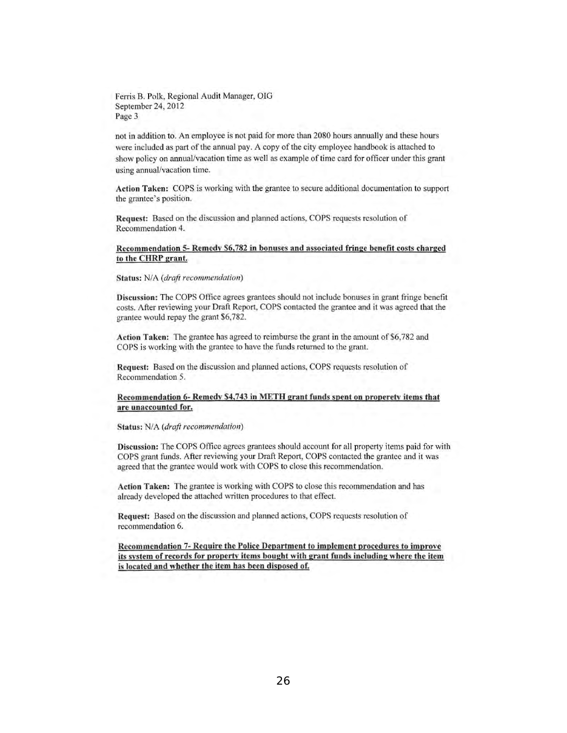Ferris B. Polk, Regional Audit Manager, OIG September 24, 2012 Page 3

not in addition to. An employee is not paid for more than 2080 hours annually and these hours were included as part of the annual pay. A copy of the city employee handbook is attached to show policy on annual/vacation time as well as example of time card for officer under this grant using annual/vacation time.

Action Taken: COPS is working with the grantee to secure additional documentation to support the grantee's position.

Request: Based on the discussion and planned actions, COPS requests resolution of Recommendation 4.

#### Recommendation 5- Remcdy \$6,782 in bonuses and associated fringe benefit costs charged to the CHRP grant.

Status: *N/A (draft recommendation)* 

Discussion: The COPS Office agrees grantees should not include bonuses in grant fringe benefit costs. After reviewing your Draft Report, COPS contacted the grantee and it was agreed that the grantee would repay the grant \$6,782.

Action Taken: The grantee has agreed to reimburse the grant in the amount of \$6,782 and COPS is working with the grantee to have the funds returned to the grant.

Request: Based on the discussion and planned actions, COPS requests resolution of Recommendation 5.

#### Recommendation 6- Remedy \$4,743 in METH grant funds spent on properety items that are unaccounted for.

Status: *N/A (draft recommendation)* 

Discussion: The COPS Office agrees grantees should account for all property items paid for with COPS grant funds. After reviewing your Draft Report, COPS contacted the grantee and it was agreed that the grantee would work with COPS to close this recommendation.

Action Taken: The grantee is working with COPS to close this recommendation and has already developed the attached written procedures to that effect.

Request: Based on the discussion and planned actions, COPS requests resolution of recommendation 6.

Recommendation 7- Require the Police Department to implement procedures to improve its system of records for property items bought with grant funds including where the item is located and whether the item has been disposed of.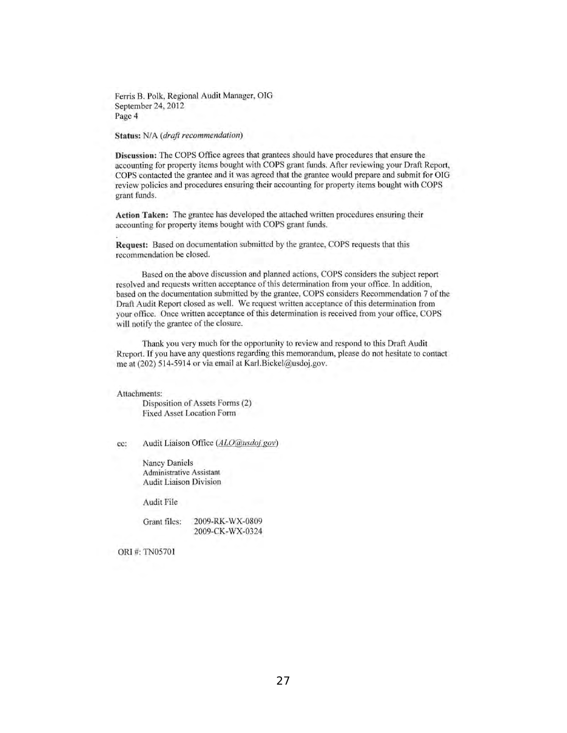Ferris B. Polk, Regional Audit Manager, OIG September 24, 2012 Page 4

Status: *N/A (draft recommendation)* 

Discussion: The COPS Office agrees that grantees should have procedures that ensure the accounting for property items bought with COPS grant funds. After reviewing your Draft Report, COPS contacted the grantee and it was agreed that the grantee would prepare and submit for OIG review policies and procedures ensuring their accounting for property items bought with COPS grant funds.

Action Taken: The grantee has developed the attached written procedures ensuring their accounting for property items bought with COPS grant funds.

Request: Based on documentation submitted by the grantee, COPS requests that this recommendation be closed.

Based on the above discussion and planned actions, COPS considers the subject report resolved and requests written acceptance of this determination from your office. In addition, based on the documentation submitted by the grantee, COPS considers Recommendation 7 of the Draft Audit Report closed as well. We request written acceptance of this determination from your office. Once written acceptance of this determination is received from your office, COPS will notify the grantee of the closure.

Thank you very much for the opportunity to review and respond to this Draft Audit Rreport. If you have any questions regarding this memorandum, please do not hesitate to contact me at (202) 514-5914 or via email at KarI.Bickel@usdoj,gov.

Attachments:

Disposition of Assets Forms (2) Fixed Asset Location Form

ce: Audit Liaison Office *(ALO@usdo;,gov)* 

Nancy Daniels Administrative Assistant Audit Liaison Division

Audit File

Grant files: 2009-RK-WX-0809 2009-CK-WX-0324

ORI#: TN05701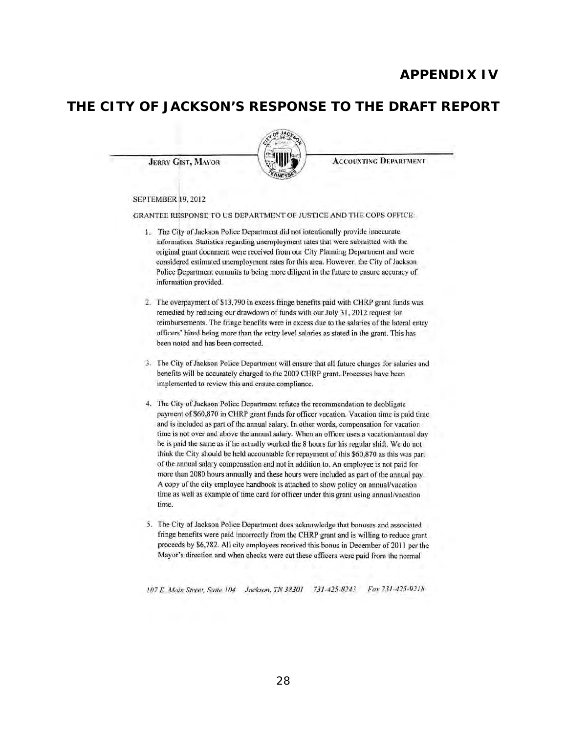# **APPENDIX IV**

# **THE CITY OF JACKSON'S RESPONSE TO THE DRAFT REPORT**

**JERRY GIST, MAYOR** 



**ACCOUNTING DEPARTMENT** 

#### SEPTEMBER 19, 2012

GRANTEE RESPONSE TO US DEPARTMENT OF JUSTICE AND THE COPS OFFICE:

- 1. The City of Jackson Police Department did not intentionally provide inaccurate information. Statistics regarding unemployment rates that were submitted with the original grant document were received from our City Planning Department and were considered estimated unemployment rates for this area. However, Ihe City of Jackson Police Department commits to being more diligent in the future to ensure accuracy of information provided.
- 2. The overpayment of \$13,790 in excess fringe benefits paid with CHRP grant funds was remedied by reducing our drawdown of funds with our July 31, 2012 request for reimbursements. The fringe benefits were in excess due to the salaries of the lateral entry officers' hired being more than the entry level salaries as stated in the grant. This has been noted and has been corrected.
- 3. The City of Jackson Police Department will ensure that al! future charges for salaries and benefits will be accurately charged to the 2009 CHRP grant. Processes have been implemented to review this and ensure compliance.
- 4. The City of Jackson Police Department refutes the recommendation to deobligate payment of \$60,870 in CHRP grant funds for officer vacation. Vacation time is paid time and is included as part of the annual salary. In other words, compensation for vacation time is not over and above the annual salary. When an officer uses a vacation/annual day he is paid the same as if he actually worked the 8 hours for his regular shift. We do not think the City should be held accountable for repayment of this \$60,870 as this was part of the annual salary compensation and not in addition to. An employee is not paid for more than 2080 hours annually and these hours were included as part of the annual pay. A copy of the city employee handbook is attached to show policy on annual/vacation time as well as example of time card for officer under this grant using annual/vacation time.
- 5. The City of Jackson Police Department does acknowledge that bonuses and associated fringe benefits were paid incorrectly from the CHRP grant and is willing to reduce grant proceeds by \$6,782. All city employees received this bonus in December of 2011 per the Mayor's direction and when checks were cut these officers were paid from (he normal

*107* E. *Mlli" Swe/?I. Suite 104 Jacbon. TN 38301 73/-425-8243 FlU 731 -425-92IH*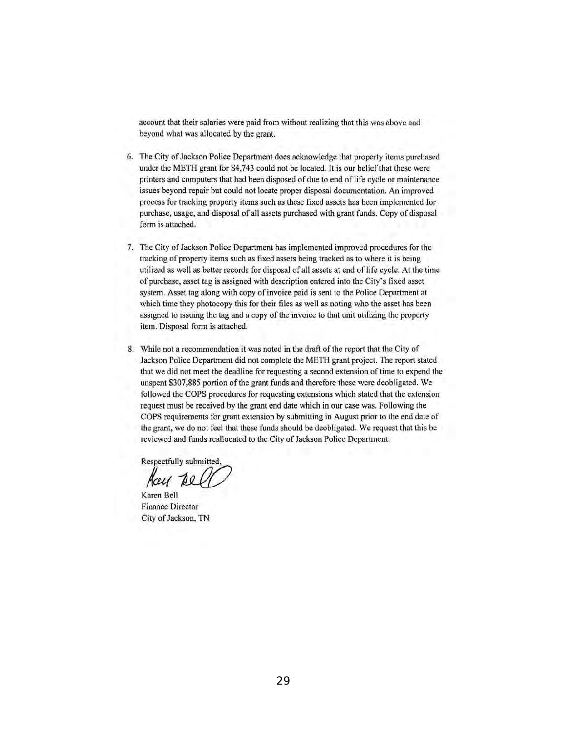account that their salaries were paid from without realizing that this was above and beyond what was allocated by the grant.

- 6. The City of Jackson Police Dcpartment docs acknowledge that property items purchased under the METH grant for \$4,743 could not be located. It is our belief that these were printers and computers that had been disposed of due to end of life cycle or maintenance issucs beyond repair but could not locate proper disposal documentation, An improved process for tracking property items such as these fixed assets has been implemented for purchase, usage, and disposal of all asscts purchased with grant funds. Copy of disposal form is attached.
- 7. Thc City of Jackson Policc Dcpartment has implemcnted improvcd proccdures for thc tracking of property items such as fixed assets being tracked as to where it is being utilized as well as better records for disposal of all assets at end of life cycle. At the time of purchasc, asset tag is assigned with description entered into thc City's fixed assct system. Asset tag along with copy of invoice paid is sent to the Police Department at which time they photocopy this for their files as well as noting who the asset has been assigned to issuing the tag and a copy of the invoice to that unit utilizing the property item. Disposal form is attached.
- 8. While not a recommendation it was noted in the draft of the report that the City of Jackson Police Department did not complete the METH grant project. The report stated that we did not meet the deadline for requesting a second extension of time 10 expend the unspent \$307,885 portion of the grant funds and therefore these were deobligated. We followed the COPS procedures for requesting extensions which stated thai the extension request must be received by the grant end date which in our case was. Following the COPS requirements for grant extension by submitting in August prior to the end date of the grant, we do not feel that these funds should be deobligated. We request that this be reviewed and funds reallocated to the City of Jackson Police Department.

Respectfully submitted,<br>*Aceu 1e0* 

Karen Bcll Finance Director City of Jackson, TN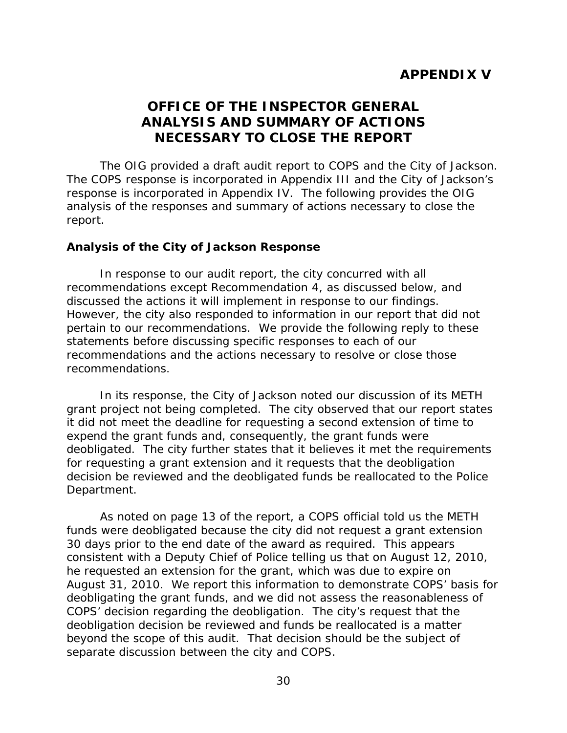# **OFFICE OF THE INSPECTOR GENERAL ANALYSIS AND SUMMARY OF ACTIONS NECESSARY TO CLOSE THE REPORT**

<span id="page-33-0"></span> response is incorporated in Appendix IV. The following provides the OIG The OIG provided a draft audit report to COPS and the City of Jackson. The COPS response is incorporated in Appendix III and the City of Jackson's analysis of the responses and summary of actions necessary to close the report.

#### **Analysis of the City of Jackson Response**

 statements before discussing specific responses to each of our In response to our audit report, the city concurred with all recommendations except Recommendation 4, as discussed below, and discussed the actions it will implement in response to our findings. However, the city also responded to information in our report that did not pertain to our recommendations. We provide the following reply to these recommendations and the actions necessary to resolve or close those recommendations.

In its response, the City of Jackson noted our discussion of its METH grant project not being completed. The city observed that our report states it did not meet the deadline for requesting a second extension of time to expend the grant funds and, consequently, the grant funds were deobligated. The city further states that it believes it met the requirements for requesting a grant extension and it requests that the deobligation decision be reviewed and the deobligated funds be reallocated to the Police Department.

 30 days prior to the end date of the award as required. This appears consistent with a Deputy Chief of Police telling us that on August 12, 2010, August 31, 2010. We report this information to demonstrate COPS' basis for COPS' decision regarding the deobligation. The city's request that the As noted on page 13 of the report, a COPS official told us the METH funds were deobligated because the city did not request a grant extension he requested an extension for the grant, which was due to expire on deobligating the grant funds, and we did not assess the reasonableness of deobligation decision be reviewed and funds be reallocated is a matter beyond the scope of this audit. That decision should be the subject of separate discussion between the city and COPS.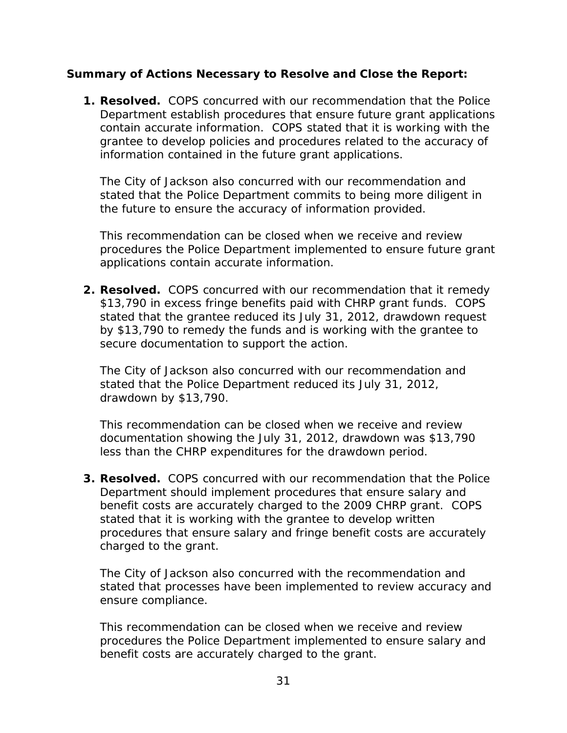## **Summary of Actions Necessary to Resolve and Close the Report:**

**1. Resolved.** COPS concurred with our recommendation that the Police Department establish procedures that ensure future grant applications contain accurate information. COPS stated that it is working with the grantee to develop policies and procedures related to the accuracy of information contained in the future grant applications.

 stated that the Police Department commits to being more diligent in the future to ensure the accuracy of information provided. The City of Jackson also concurred with our recommendation and

 procedures the Police Department implemented to ensure future grant applications contain accurate information. This recommendation can be closed when we receive and review

**2. Resolved.** COPS concurred with our recommendation that it remedy by \$13,790 to remedy the funds and is working with the grantee to \$13,790 in excess fringe benefits paid with CHRP grant funds. COPS stated that the grantee reduced its July 31, 2012, drawdown request secure documentation to support the action.

 stated that the Police Department reduced its July 31, 2012, drawdown by \$13,790. The City of Jackson also concurred with our recommendation and

This recommendation can be closed when we receive and review documentation showing the July 31, 2012, drawdown was \$13,790 less than the CHRP expenditures for the drawdown period.

 **3. Resolved.** COPS concurred with our recommendation that the Police benefit costs are accurately charged to the 2009 CHRP grant. COPS Department should implement procedures that ensure salary and stated that it is working with the grantee to develop written procedures that ensure salary and fringe benefit costs are accurately charged to the grant.

ensure compliance. The City of Jackson also concurred with the recommendation and stated that processes have been implemented to review accuracy and

 benefit costs are accurately charged to the grant. This recommendation can be closed when we receive and review procedures the Police Department implemented to ensure salary and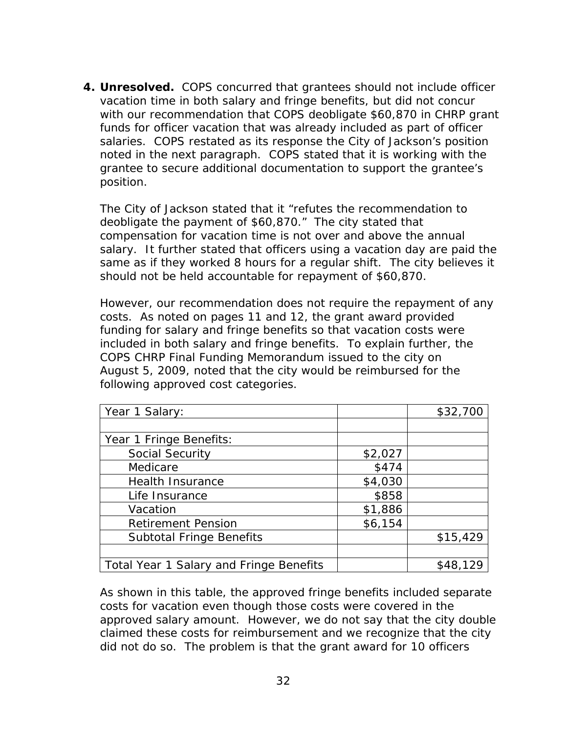**4. Unresolved.** COPS concurred that grantees should not include officer vacation time in both salary and fringe benefits, but did not concur funds for officer vacation that was already included as part of officer salaries. COPS restated as its response the City of Jackson's position noted in the next paragraph. COPS stated that it is working with the with our recommendation that COPS deobligate \$60,870 in CHRP grant grantee to secure additional documentation to support the grantee's position.

 deobligate the payment of \$60,870." The city stated that compensation for vacation time is not over and above the annual salary. It further stated that officers using a vacation day are paid the should not be held accountable for repayment of \$60,870. The City of Jackson stated that it "refutes the recommendation to same as if they worked 8 hours for a regular shift. The city believes it

 costs. As noted on pages 11 and 12, the grant award provided COPS CHRP Final Funding Memorandum issued to the city on However, our recommendation does not require the repayment of any funding for salary and fringe benefits so that vacation costs were included in both salary and fringe benefits. To explain further, the August 5, 2009, noted that the city would be reimbursed for the following approved cost categories.

| Year 1 Salary:                          |         | \$32,700 |
|-----------------------------------------|---------|----------|
|                                         |         |          |
| Year 1 Fringe Benefits:                 |         |          |
| <b>Social Security</b>                  | \$2,027 |          |
| Medicare                                | \$474   |          |
| <b>Health Insurance</b>                 | \$4,030 |          |
| Life Insurance                          | \$858   |          |
| Vacation                                | \$1,886 |          |
| <b>Retirement Pension</b>               | \$6,154 |          |
| <b>Subtotal Fringe Benefits</b>         |         | \$15,429 |
|                                         |         |          |
| Total Year 1 Salary and Fringe Benefits |         | \$48,129 |

 approved salary amount. However, we do not say that the city double As shown in this table, the approved fringe benefits included separate costs for vacation even though those costs were covered in the claimed these costs for reimbursement and we recognize that the city did not do so. The problem is that the grant award for 10 officers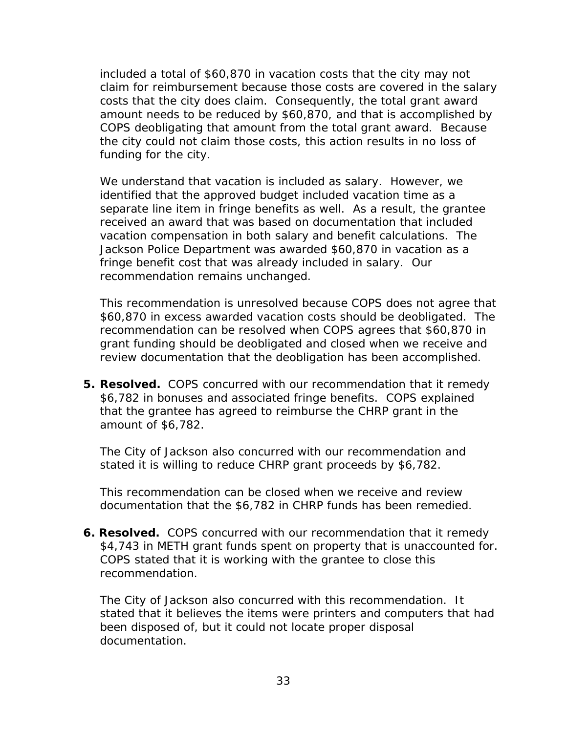included a total of \$60,870 in vacation costs that the city may not claim for reimbursement because those costs are covered in the salary costs that the city does claim. Consequently, the total grant award amount needs to be reduced by \$60,870, and that is accomplished by COPS deobligating that amount from the total grant award. Because the city could not claim those costs, this action results in no loss of funding for the city.

 We understand that vacation is included as salary. However, we identified that the approved budget included vacation time as a recommendation remains unchanged. separate line item in fringe benefits as well. As a result, the grantee received an award that was based on documentation that included vacation compensation in both salary and benefit calculations. The Jackson Police Department was awarded \$60,870 in vacation as a fringe benefit cost that was already included in salary. Our

This recommendation is unresolved because COPS does not agree that \$60,870 in excess awarded vacation costs should be deobligated. The recommendation can be resolved when COPS agrees that \$60,870 in grant funding should be deobligated and closed when we receive and review documentation that the deobligation has been accomplished.

 **5. Resolved.** COPS concurred with our recommendation that it remedy that the grantee has agreed to reimburse the CHRP grant in the \$6,782 in bonuses and associated fringe benefits. COPS explained amount of \$6,782.

 stated it is willing to reduce CHRP grant proceeds by \$6,782. The City of Jackson also concurred with our recommendation and

This recommendation can be closed when we receive and review documentation that the \$6,782 in CHRP funds has been remedied.

 **6. Resolved.** COPS concurred with our recommendation that it remedy \$4,743 in METH grant funds spent on property that is unaccounted for.<br>COPS stated that it is working with the grantee to close this COPS stated that it is working with the grantee to close this recommendation.

 been disposed of, but it could not locate proper disposal documentation. The City of Jackson also concurred with this recommendation. It stated that it believes the items were printers and computers that had documentation.<br>33